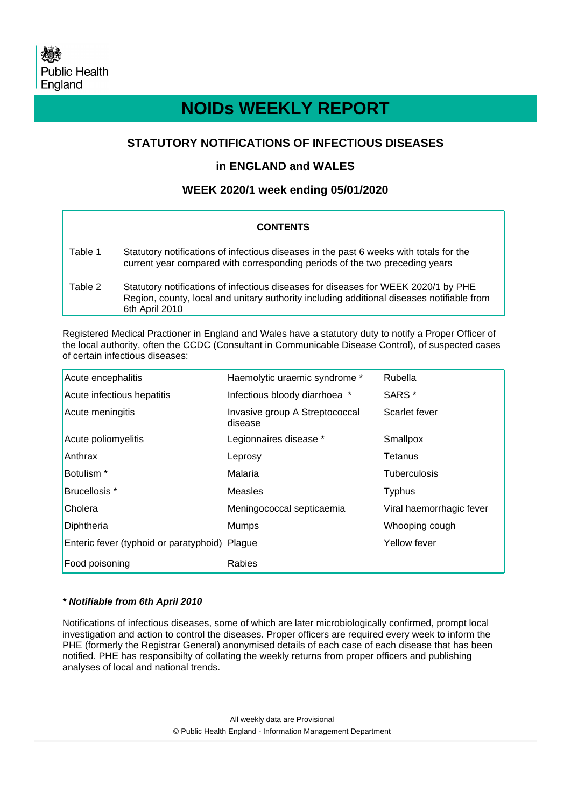# **NOIDs WEEKLY REPORT**

# **STATUTORY NOTIFICATIONS OF INFECTIOUS DISEASES**

# **in ENGLAND and WALES**

# **WEEK 2020/1 week ending 05/01/2020**

### **CONTENTS**

| Table 1 | Statutory notifications of infectious diseases in the past 6 weeks with totals for the<br>current year compared with corresponding periods of the two preceding years                             |
|---------|---------------------------------------------------------------------------------------------------------------------------------------------------------------------------------------------------|
| Table 2 | Statutory notifications of infectious diseases for diseases for WEEK 2020/1 by PHE<br>Region, county, local and unitary authority including additional diseases notifiable from<br>6th April 2010 |

Registered Medical Practioner in England and Wales have a statutory duty to notify a Proper Officer of the local authority, often the CCDC (Consultant in Communicable Disease Control), of suspected cases of certain infectious diseases:

| Acute encephalitis                            | Haemolytic uraemic syndrome *             | Rubella                  |
|-----------------------------------------------|-------------------------------------------|--------------------------|
| Acute infectious hepatitis                    | Infectious bloody diarrhoea *             | SARS <sup>*</sup>        |
| Acute meningitis                              | Invasive group A Streptococcal<br>disease | Scarlet fever            |
| Acute poliomyelitis                           | Legionnaires disease *                    | Smallpox                 |
| Anthrax                                       | Leprosy                                   | Tetanus                  |
| Botulism <sup>*</sup>                         | Malaria                                   | Tuberculosis             |
| Brucellosis *                                 | Measles                                   | <b>Typhus</b>            |
| Cholera                                       | Meningococcal septicaemia                 | Viral haemorrhagic fever |
| Diphtheria                                    | Mumps                                     | Whooping cough           |
| Enteric fever (typhoid or paratyphoid) Plague |                                           | Yellow fever             |
| Food poisoning                                | Rabies                                    |                          |

#### **\* Notifiable from 6th April 2010**

Notifications of infectious diseases, some of which are later microbiologically confirmed, prompt local investigation and action to control the diseases. Proper officers are required every week to inform the PHE (formerly the Registrar General) anonymised details of each case of each disease that has been notified. PHE has responsibilty of collating the weekly returns from proper officers and publishing analyses of local and national trends.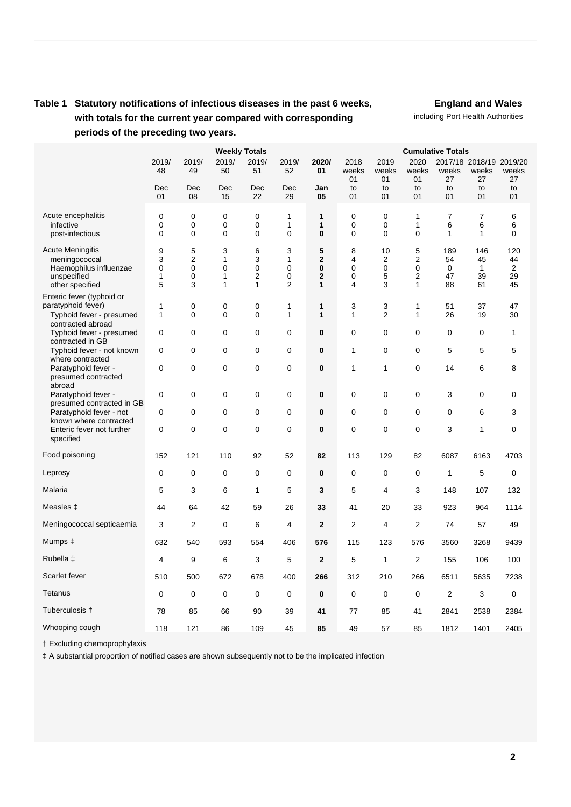# **Table 1 Statutory notifications of infectious diseases in the past 6 weeks, with totals for the current year compared with corresponding periods of the preceding two years.**

**England and Wales**

including Port Health Authorities

|                                                                                                      |                                 |                                              | <b>Cumulative Totals</b>                    |                                  |                                 |                                                 |                                 |                                     |                                   |                            |                                        |                            |
|------------------------------------------------------------------------------------------------------|---------------------------------|----------------------------------------------|---------------------------------------------|----------------------------------|---------------------------------|-------------------------------------------------|---------------------------------|-------------------------------------|-----------------------------------|----------------------------|----------------------------------------|----------------------------|
|                                                                                                      | 2019/<br>48                     | 2019/<br>49                                  | <b>Weekly Totals</b><br>2019/<br>50         | 2019/<br>51                      | 2019/<br>52                     | 2020/<br>01                                     | 2018<br>weeks<br>01             | 2019<br>weeks<br>01                 | 2020<br>weeks<br>01               | weeks<br>27                | 2017/18 2018/19 2019/20<br>weeks<br>27 | weeks<br>27                |
|                                                                                                      | Dec<br>01                       | Dec<br>08                                    | Dec<br>15                                   | Dec<br>22                        | Dec<br>29                       | Jan<br>05                                       | to<br>01                        | to<br>01                            | to<br>01                          | to<br>01                   | to<br>01                               | to<br>01                   |
| Acute encephalitis<br>infective<br>post-infectious                                                   | $\mathbf 0$<br>0<br>0           | $\mathbf 0$<br>$\mathbf 0$<br>0              | $\mathbf 0$<br>0<br>0                       | 0<br>0<br>0                      | 1<br>1<br>$\mathbf 0$           | 1<br>1<br>0                                     | $\mathbf 0$<br>$\mathbf 0$<br>0 | $\mathbf 0$<br>0<br>0               | $\mathbf{1}$<br>$\mathbf{1}$<br>0 | $\overline{7}$<br>6<br>1   | $\overline{7}$<br>6<br>1               | 6<br>6<br>0                |
| <b>Acute Meningitis</b><br>meningococcal<br>Haemophilus influenzae<br>unspecified<br>other specified | 9<br>3<br>$\mathbf 0$<br>1<br>5 | 5<br>$\overline{2}$<br>$\mathbf 0$<br>0<br>3 | 3<br>$\mathbf{1}$<br>0<br>1<br>$\mathbf{1}$ | 6<br>3<br>0<br>2<br>$\mathbf{1}$ | 3<br>1<br>$\mathbf 0$<br>0<br>2 | 5<br>$\overline{2}$<br>0<br>$\overline{2}$<br>1 | 8<br>4<br>$\mathbf 0$<br>0<br>4 | 10<br>$\overline{2}$<br>0<br>5<br>3 | 5<br>2<br>0<br>2<br>1             | 189<br>54<br>0<br>47<br>88 | 146<br>45<br>1<br>39<br>61             | 120<br>44<br>2<br>29<br>45 |
| Enteric fever (typhoid or<br>paratyphoid fever)<br>Typhoid fever - presumed<br>contracted abroad     | 1<br>$\mathbf{1}$               | $\mathbf 0$<br>$\mathbf 0$                   | 0<br>0                                      | 0<br>0                           | 1<br>1                          | 1<br>1                                          | 3<br>1                          | 3<br>$\overline{2}$                 | 1<br>$\mathbf{1}$                 | 51<br>26                   | 37<br>19                               | 47<br>30                   |
| Typhoid fever - presumed<br>contracted in GB                                                         | $\mathbf 0$                     | $\mathbf 0$                                  | 0                                           | 0                                | $\mathbf 0$                     | $\bf{0}$                                        | $\mathbf 0$                     | 0                                   | 0                                 | $\mathbf 0$                | $\mathbf 0$                            | $\mathbf{1}$               |
| Typhoid fever - not known<br>where contracted                                                        | $\mathbf 0$                     | $\mathbf 0$                                  | 0                                           | 0                                | $\mathbf 0$                     | 0                                               | $\mathbf{1}$                    | 0                                   | 0                                 | 5                          | 5                                      | 5                          |
| Paratyphoid fever -<br>presumed contracted<br>abroad                                                 | 0                               | $\mathbf 0$                                  | 0                                           | 0                                | 0                               | 0                                               | 1                               | $\mathbf{1}$                        | 0                                 | 14                         | 6                                      | 8                          |
| Paratyphoid fever -                                                                                  | 0                               | $\mathbf 0$                                  | 0                                           | 0                                | 0                               | $\bf{0}$                                        | $\mathbf 0$                     | 0                                   | 0                                 | 3                          | $\mathbf 0$                            | 0                          |
| presumed contracted in GB<br>Paratyphoid fever - not                                                 | $\mathbf 0$                     | $\Omega$                                     | 0                                           | 0                                | $\mathbf 0$                     | $\bf{0}$                                        | $\mathbf 0$                     | 0                                   | 0                                 | $\mathbf 0$                | 6                                      | 3                          |
| known where contracted<br>Enteric fever not further<br>specified                                     | 0                               | $\Omega$                                     | 0                                           | 0                                | $\mathbf 0$                     | 0                                               | 0                               | 0                                   | 0                                 | 3                          | $\mathbf{1}$                           | $\pmb{0}$                  |
| Food poisoning                                                                                       | 152                             | 121                                          | 110                                         | 92                               | 52                              | 82                                              | 113                             | 129                                 | 82                                | 6087                       | 6163                                   | 4703                       |
| Leprosy                                                                                              | 0                               | $\mathbf 0$                                  | 0                                           | 0                                | 0                               | 0                                               | $\mathbf 0$                     | $\mathbf 0$                         | 0                                 | 1                          | 5                                      | 0                          |
| Malaria                                                                                              | 5                               | 3                                            | 6                                           | $\mathbf{1}$                     | 5                               | 3                                               | 5                               | 4                                   | 3                                 | 148                        | 107                                    | 132                        |
| Measles ‡                                                                                            | 44                              | 64                                           | 42                                          | 59                               | 26                              | 33                                              | 41                              | 20                                  | 33                                | 923                        | 964                                    | 1114                       |
| Meningococcal septicaemia                                                                            | 3                               | $\overline{2}$                               | 0                                           | 6                                | 4                               | $\overline{2}$                                  | $\overline{2}$                  | 4                                   | 2                                 | 74                         | 57                                     | 49                         |
| Mumps ‡                                                                                              | 632                             | 540                                          | 593                                         | 554                              | 406                             | 576                                             | 115                             | 123                                 | 576                               | 3560                       | 3268                                   | 9439                       |
| Rubella ‡                                                                                            | 4                               | 9                                            | 6                                           | 3                                | 5                               | $\mathbf{2}$                                    | 5                               | $\mathbf{1}$                        | $\overline{2}$                    | 155                        | 106                                    | 100                        |
| Scarlet fever                                                                                        | 510                             | 500                                          | 672                                         | 678                              | 400                             | 266                                             | 312                             | 210                                 | 266                               | 6511                       | 5635                                   | 7238                       |
| Tetanus                                                                                              | $\mathbf 0$                     | $\mathbf 0$                                  | $\mathbf 0$                                 | 0                                | 0                               | $\bf{0}$                                        | $\mathbf 0$                     | 0                                   | 0                                 | $\overline{2}$             | 3                                      | $\mathbf 0$                |
| Tuberculosis †                                                                                       | 78                              | 85                                           | 66                                          | 90                               | 39                              | 41                                              | 77                              | 85                                  | 41                                | 2841                       | 2538                                   | 2384                       |
| Whooping cough                                                                                       | 118                             | 121                                          | 86                                          | 109                              | 45                              | 85                                              | 49                              | 57                                  | 85                                | 1812                       | 1401                                   | 2405                       |

† Excluding chemoprophylaxis

‡ A substantial proportion of notified cases are shown subsequently not to be the implicated infection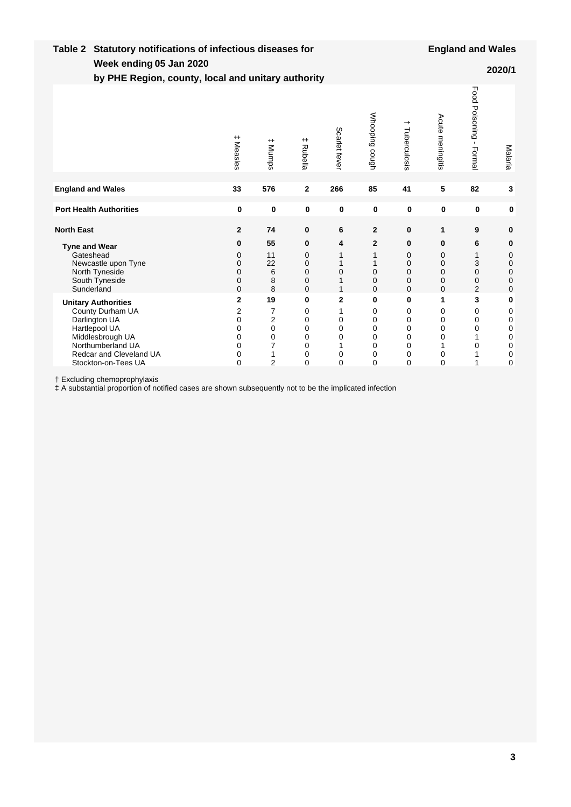| Week ending 05 Jan 2020<br>2020/1<br>by PHE Region, county, local and unitary authority                                                                                     |                                                 |                                                                                               |                                      |                                                                                  |                                                       |                                             |                                                |                                         |                                      |  |
|-----------------------------------------------------------------------------------------------------------------------------------------------------------------------------|-------------------------------------------------|-----------------------------------------------------------------------------------------------|--------------------------------------|----------------------------------------------------------------------------------|-------------------------------------------------------|---------------------------------------------|------------------------------------------------|-----------------------------------------|--------------------------------------|--|
|                                                                                                                                                                             | $^{\rm +}$<br>Measles                           | $+$<br><b>Mumps</b>                                                                           | # Rubella                            | Scarlet fever                                                                    | Whooping cough                                        | ᅪ<br>Tuberculosis                           | Acute meningitis                               | Food Poisoning -<br>Formal              | Malaria                              |  |
| <b>England and Wales</b>                                                                                                                                                    | 33                                              | 576                                                                                           | 2                                    | 266                                                                              | 85                                                    | 41                                          | 5                                              | 82                                      | 3                                    |  |
| <b>Port Health Authorities</b>                                                                                                                                              | $\bf{0}$                                        | $\mathbf 0$                                                                                   | $\bf{0}$                             | 0                                                                                | $\mathbf 0$                                           | $\mathbf 0$                                 | 0                                              | $\mathbf 0$                             | 0                                    |  |
| <b>North East</b>                                                                                                                                                           | $\overline{2}$                                  | 74                                                                                            | 0                                    | 6                                                                                | $\overline{2}$                                        | 0                                           | 1                                              | 9                                       | 0                                    |  |
| <b>Tyne and Wear</b><br>Gateshead<br>Newcastle upon Tyne<br>North Tyneside<br>South Tyneside<br>Sunderland                                                                  | 0<br>0<br>0<br>0<br>0<br>0                      | 55<br>11<br>22<br>6<br>8<br>8                                                                 | 0<br>0<br>0<br>0<br>0<br>$\mathbf 0$ | 4<br>1<br>1<br>0<br>1<br>1                                                       | $\mathbf{2}$<br>$\mathbf 0$<br>0<br>$\Omega$          | 0<br>0<br>0<br>0<br>0<br>$\mathbf 0$        | 0<br>0<br>0<br>0<br>0<br>$\mathbf 0$           | 6<br>1<br>3<br>0<br>0<br>$\overline{2}$ | 0<br>0<br>0<br>0<br>0<br>0           |  |
| <b>Unitary Authorities</b><br>County Durham UA<br>Darlington UA<br>Hartlepool UA<br>Middlesbrough UA<br>Northumberland UA<br>Redcar and Cleveland UA<br>Stockton-on-Tees UA | $\mathbf{2}$<br>2<br>0<br>0<br>0<br>0<br>0<br>0 | 19<br>$\overline{7}$<br>$\overline{2}$<br>$\mathbf 0$<br>$\Omega$<br>7<br>1<br>$\overline{2}$ | 0<br>0<br>0<br>0<br>0<br>0<br>0<br>0 | $\overline{2}$<br>1<br>$\mathbf 0$<br>$\mathbf 0$<br>0<br>1<br>0<br>$\mathbf{0}$ | 0<br>0<br>0<br>0<br>$\mathbf 0$<br>0<br>0<br>$\Omega$ | 0<br>0<br>0<br>0<br>0<br>0<br>0<br>$\Omega$ | 1<br>0<br>0<br>0<br>$\mathbf 0$<br>1<br>0<br>0 | 3<br>0<br>0<br>0<br>0                   | 0<br>0<br>0<br>0<br>0<br>0<br>0<br>0 |  |

† Excluding chemoprophylaxis

‡ A substantial proportion of notified cases are shown subsequently not to be the implicated infection

**Week ending**

**Table 2 Statutory notifications of infectious diseases for**

**England and Wales**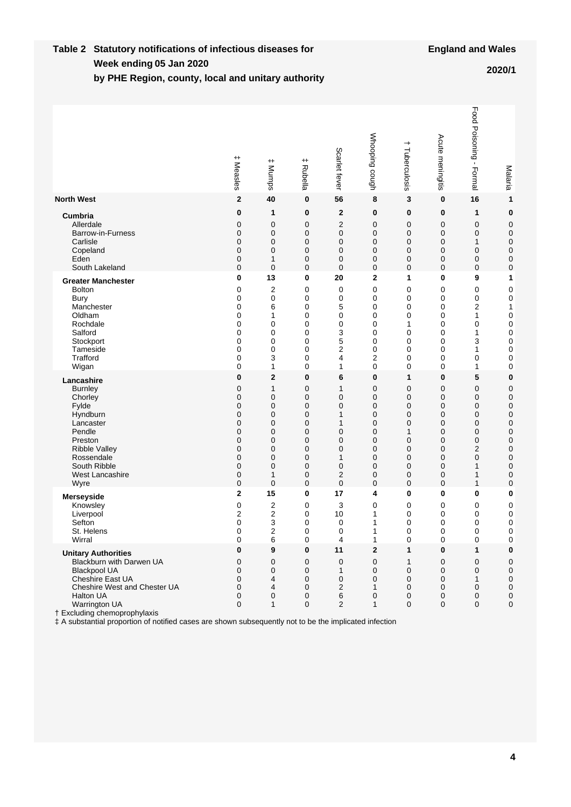#### **Week ending Table 2 Statutory notifications of infectious diseases for by PHE Region, county, local and unitary authority 05 Jan 2020 2020/1**

|                                                                                                                                                                                                                                                                                                           | $^{\rm +}$<br>Measles           | # Munps                                              | $^{\mathrm{+}}$<br>Rubella      | Scarlet fever                                              | Whooping cough                                                   | $\overline{\phantom{0}}$<br>Tuberculosis  | Acute meningitis                                            | Food Poisoning -<br>- Formal    | Malaria                                                                     |
|-----------------------------------------------------------------------------------------------------------------------------------------------------------------------------------------------------------------------------------------------------------------------------------------------------------|---------------------------------|------------------------------------------------------|---------------------------------|------------------------------------------------------------|------------------------------------------------------------------|-------------------------------------------|-------------------------------------------------------------|---------------------------------|-----------------------------------------------------------------------------|
| <b>North West</b>                                                                                                                                                                                                                                                                                         | $\mathbf 2$                     | 40                                                   | 0                               | 56                                                         | 8                                                                | 3                                         | $\bf{0}$                                                    | 16                              | 1                                                                           |
| <b>Cumbria</b>                                                                                                                                                                                                                                                                                            | 0                               | 1                                                    | 0                               | $\mathbf 2$                                                | 0                                                                | 0                                         | $\bf{0}$                                                    | 1                               | 0                                                                           |
| Allerdale                                                                                                                                                                                                                                                                                                 | $\mathbf 0$                     | 0                                                    | 0                               | $\overline{c}$                                             | 0                                                                | $\mathbf 0$                               | 0                                                           | $\mathbf 0$                     | 0                                                                           |
| Barrow-in-Furness                                                                                                                                                                                                                                                                                         | $\mathbf 0$                     | 0                                                    | 0                               | $\mathbf 0$                                                | 0                                                                | 0                                         | 0                                                           | $\mathbf 0$                     | $\mathbf 0$                                                                 |
| Carlisle                                                                                                                                                                                                                                                                                                  | $\mathbf 0$                     | $\mathbf 0$                                          | 0                               | 0                                                          | 0                                                                | 0                                         | $\mathbf 0$                                                 | 1                               | $\mathbf 0$                                                                 |
| Copeland                                                                                                                                                                                                                                                                                                  | $\mathbf 0$                     | 0                                                    | 0                               | 0                                                          | 0                                                                | 0                                         | $\mathbf 0$                                                 | 0                               | 0                                                                           |
| Eden                                                                                                                                                                                                                                                                                                      | 0                               | 1                                                    | 0                               | 0                                                          | 0                                                                | 0                                         | 0                                                           | 0                               | 0                                                                           |
| South Lakeland                                                                                                                                                                                                                                                                                            | $\mathbf 0$                     | $\mathbf 0$                                          | 0                               | $\mathbf 0$                                                | 0                                                                | 0                                         | $\mathbf 0$                                                 | 0                               | 0                                                                           |
| <b>Greater Manchester</b>                                                                                                                                                                                                                                                                                 | 0                               | 13                                                   | 0                               | 20                                                         | 2                                                                | 1                                         | $\bf{0}$                                                    | 9                               | 1                                                                           |
| <b>Bolton</b>                                                                                                                                                                                                                                                                                             | 0                               | $\overline{2}$                                       | 0                               | 0                                                          | 0                                                                | $\mathbf 0$                               | 0                                                           | 0                               | 0                                                                           |
| <b>Bury</b>                                                                                                                                                                                                                                                                                               | 0                               | 0                                                    | 0                               | 0                                                          | 0                                                                | $\mathbf 0$                               | $\mathbf 0$                                                 | 0                               | 0                                                                           |
| Manchester                                                                                                                                                                                                                                                                                                | 0                               | 6                                                    | 0                               | 5                                                          | 0                                                                | 0                                         | $\mathbf 0$                                                 | $\overline{\mathbf{c}}$         | 1                                                                           |
| Oldham                                                                                                                                                                                                                                                                                                    | 0                               | 1                                                    | 0                               | 0                                                          | 0                                                                | 0                                         | 0                                                           | 1                               | 0                                                                           |
| Rochdale                                                                                                                                                                                                                                                                                                  | 0                               | 0                                                    | 0                               | 0                                                          | 0                                                                | 1                                         | $\mathbf 0$                                                 | 0                               | 0                                                                           |
| Salford                                                                                                                                                                                                                                                                                                   | 0                               | 0                                                    | 0                               | 3                                                          | 0                                                                | 0                                         | 0                                                           | 1                               | 0                                                                           |
| Stockport                                                                                                                                                                                                                                                                                                 | 0                               | 0                                                    | 0                               | 5                                                          | 0                                                                | $\mathbf 0$                               | $\mathbf 0$                                                 | 3                               | 0                                                                           |
| Tameside                                                                                                                                                                                                                                                                                                  | 0                               | 0                                                    | 0                               | 2                                                          | 0                                                                | 0                                         | 0                                                           | 1                               | 0                                                                           |
| Trafford                                                                                                                                                                                                                                                                                                  | 0                               | 3                                                    | 0                               | 4                                                          | 2                                                                | $\mathbf 0$                               | $\mathbf 0$                                                 | 0                               | 0                                                                           |
| Wigan                                                                                                                                                                                                                                                                                                     | 0                               | 1                                                    | 0                               | 1                                                          | 0                                                                | 0                                         | 0                                                           | 1                               | 0                                                                           |
| Lancashire                                                                                                                                                                                                                                                                                                | 0                               | $\overline{2}$                                       | 0                               | 6                                                          | 0                                                                | 1                                         | $\bf{0}$                                                    | 5                               | $\bf{0}$                                                                    |
| <b>Burnley</b>                                                                                                                                                                                                                                                                                            | 0                               | $\mathbf{1}$                                         | 0                               | 1                                                          | 0                                                                | $\mathbf 0$                               | $\mathbf 0$                                                 | $\mathbf 0$                     | 0                                                                           |
| Chorley                                                                                                                                                                                                                                                                                                   | $\mathbf 0$                     | $\mathbf 0$                                          | 0                               | $\mathbf 0$                                                | 0                                                                | $\mathbf 0$                               | $\mathbf 0$                                                 | $\mathbf 0$                     | $\mathbf 0$                                                                 |
| Fylde                                                                                                                                                                                                                                                                                                     | 0                               | $\mathbf 0$                                          | 0                               | $\mathbf 0$                                                | 0                                                                | $\mathbf 0$                               | $\mathbf 0$                                                 | $\mathbf 0$                     | $\mathbf 0$                                                                 |
| Hyndburn                                                                                                                                                                                                                                                                                                  | $\mathbf 0$                     | $\mathbf 0$                                          | 0                               | 1                                                          | 0                                                                | $\mathbf 0$                               | $\mathbf 0$                                                 | $\mathbf 0$                     | $\mathbf 0$                                                                 |
| Lancaster                                                                                                                                                                                                                                                                                                 | $\mathbf 0$                     | 0                                                    | 0                               | 1                                                          | 0                                                                | $\Omega$                                  | $\mathbf 0$                                                 | 0                               | $\mathbf 0$                                                                 |
| Pendle                                                                                                                                                                                                                                                                                                    | 0                               | 0                                                    | 0                               | 0                                                          | 0                                                                | 1                                         | $\mathbf 0$                                                 | 0                               | $\mathbf 0$                                                                 |
| Preston                                                                                                                                                                                                                                                                                                   | $\mathbf 0$                     | 0                                                    | 0                               | 0                                                          | 0                                                                | 0                                         | 0                                                           | $\mathbf 0$                     | $\mathbf 0$                                                                 |
| <b>Ribble Valley</b>                                                                                                                                                                                                                                                                                      | 0                               | 0                                                    | 0                               | $\mathbf 0$                                                | 0                                                                | 0                                         | $\mathbf 0$                                                 | $\overline{2}$                  | $\mathbf 0$                                                                 |
| Rossendale                                                                                                                                                                                                                                                                                                | $\mathbf 0$                     | 0                                                    | 0                               | $\mathbf{1}$                                               | 0                                                                | 0                                         | 0                                                           | $\mathbf 0$                     | $\mathbf 0$                                                                 |
| South Ribble                                                                                                                                                                                                                                                                                              | 0                               | $\mathbf 0$                                          | 0                               | $\mathbf 0$                                                | 0                                                                | 0                                         | $\mathbf 0$                                                 | 1                               | 0                                                                           |
| West Lancashire                                                                                                                                                                                                                                                                                           | 0                               | 1                                                    | 0                               | 2                                                          | 0                                                                | 0                                         | 0                                                           | 1                               | 0                                                                           |
| Wyre                                                                                                                                                                                                                                                                                                      | 0                               | $\mathbf 0$                                          | 0                               | $\overline{0}$                                             | 0                                                                | 0                                         | $\mathbf 0$                                                 | 1                               | 0                                                                           |
| <b>Merseyside</b>                                                                                                                                                                                                                                                                                         | 2                               | 15                                                   | 0                               | 17                                                         | 4                                                                | $\bf{0}$                                  | $\mathbf 0$                                                 | 0                               | 0                                                                           |
| Knowsley                                                                                                                                                                                                                                                                                                  | 0                               | $\overline{2}$                                       | 0                               | 3                                                          | 0                                                                | $\mathbf 0$                               | $\mathbf 0$                                                 | 0                               | 0                                                                           |
| Liverpool                                                                                                                                                                                                                                                                                                 | 2                               | $\overline{2}$                                       | 0                               | 10                                                         | 1                                                                | 0                                         | $\mathbf 0$                                                 | 0                               | 0                                                                           |
| Sefton                                                                                                                                                                                                                                                                                                    | 0                               | 3                                                    | 0                               | 0                                                          | 1                                                                | $\mathbf 0$                               | $\mathbf 0$                                                 | 0                               | 0                                                                           |
| St. Helens                                                                                                                                                                                                                                                                                                | $\mathbf{0}$                    | $\overline{2}$                                       | $\mathbf{0}$                    | $\Omega$                                                   | 1                                                                | $\Omega$                                  | $\Omega$                                                    | $\Omega$                        | 0                                                                           |
| Wirral                                                                                                                                                                                                                                                                                                    | 0                               | 6                                                    | 0                               | 4                                                          | 1                                                                | $\pmb{0}$                                 | $\pmb{0}$                                                   | 0                               | $\pmb{0}$                                                                   |
| <b>Unitary Authorities</b><br>Blackburn with Darwen UA<br><b>Blackpool UA</b><br>Cheshire East UA<br>Cheshire West and Chester UA<br>Halton UA<br>Warrington UA<br>† Excluding chemoprophylaxis<br># A substantial proportion of notified cases are shown subsequently not to be the implicated infection | 0<br>0<br>0<br>0<br>0<br>0<br>0 | 9<br>0<br>0<br>4<br>4<br>$\mathbf 0$<br>$\mathbf{1}$ | 0<br>0<br>0<br>0<br>0<br>0<br>0 | 11<br>0<br>1<br>0<br>$\overline{c}$<br>6<br>$\overline{2}$ | $\overline{\mathbf{2}}$<br>0<br>0<br>0<br>1<br>0<br>$\mathbf{1}$ | 1<br>1<br>0<br>0<br>0<br>0<br>$\mathbf 0$ | 0<br>0<br>$\pmb{0}$<br>0<br>$\mathbf 0$<br>0<br>$\mathbf 0$ | 1<br>0<br>0<br>1<br>0<br>0<br>0 | 0<br>0<br>$\mathbf 0$<br>$\pmb{0}$<br>$\pmb{0}$<br>$\pmb{0}$<br>$\mathbf 0$ |

† Excluding chemoprophylaxis<br>
‡ A substantial proportion of notified cases are shown subsequently not to be the implicated infection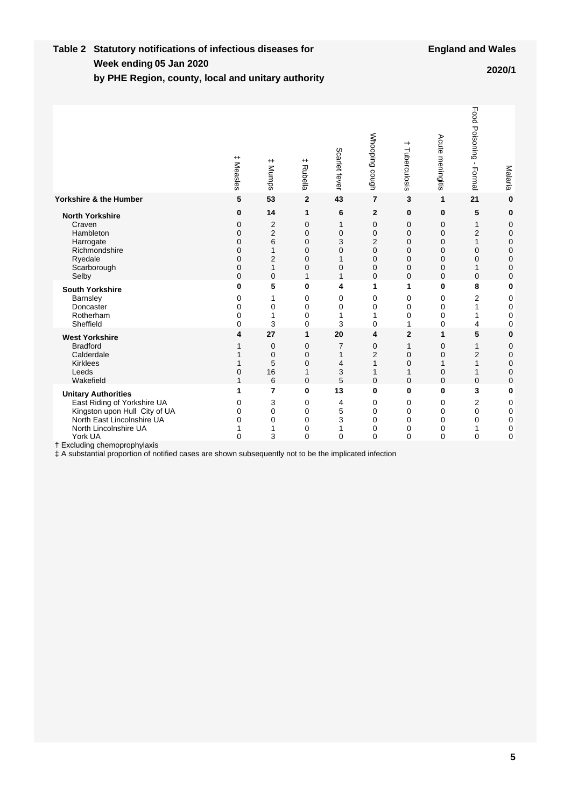#### **Week ending Table 2 Statutory notifications of infectious diseases for by PHE Region, county, local and unitary authority 05 Jan 2020 2020/1**

|                                                                                                                                                                                              | $^{\rm +}$<br>Measles                                                                                | $^{\rm +}$<br>Mumps                                                               | $^{\mathrm{+}}$<br>Rubella                               | Scarlet fever                                                            | Whooping cough                                                                  | →<br>Tuberculosis                                                | Acute meningitis                                   | Food Poisoning - Formal                                                        | Malaria                                                         |
|----------------------------------------------------------------------------------------------------------------------------------------------------------------------------------------------|------------------------------------------------------------------------------------------------------|-----------------------------------------------------------------------------------|----------------------------------------------------------|--------------------------------------------------------------------------|---------------------------------------------------------------------------------|------------------------------------------------------------------|----------------------------------------------------|--------------------------------------------------------------------------------|-----------------------------------------------------------------|
| Yorkshire & the Humber                                                                                                                                                                       | 5                                                                                                    | 53                                                                                | $\overline{2}$                                           | 43                                                                       | $\overline{7}$                                                                  | 3                                                                | 1                                                  | 21                                                                             | $\bf{0}$                                                        |
| <b>North Yorkshire</b><br>Craven<br>Hambleton<br>Harrogate<br>Richmondshire<br>Ryedale<br>Scarborough<br>Selby                                                                               | 0<br>$\mathbf 0$<br>$\Omega$<br>$\mathbf 0$<br>$\mathbf 0$<br>$\mathbf 0$<br>$\mathbf 0$<br>$\Omega$ | 14<br>2<br>$\overline{2}$<br>6<br>1<br>$\overline{2}$<br>$\mathbf{1}$<br>$\Omega$ | 1<br>0<br>$\Omega$<br>0<br>0<br>$\overline{0}$<br>0<br>1 | 6<br>1<br>$\overline{0}$<br>3<br>$\mathbf 0$<br>1<br>$\overline{0}$<br>1 | $\overline{2}$<br>$\mathbf 0$<br>$\mathbf 0$<br>2<br>0<br>0<br>0<br>$\mathbf 0$ | 0<br>0<br>$\Omega$<br>0<br>0<br>0<br>$\mathbf 0$<br>$\Omega$     | 0<br>0<br>$\Omega$<br>0<br>0<br>0<br>0<br>$\Omega$ | 5<br>$\mathbf{1}$<br>$\overline{2}$<br>$\mathbf{1}$<br>0<br>0<br>1<br>$\Omega$ | 0<br>0<br>$\mathbf 0$<br>$\mathbf 0$<br>0<br>0<br>0<br>$\Omega$ |
| <b>South Yorkshire</b><br>Barnsley<br>Doncaster<br>Rotherham<br>Sheffield                                                                                                                    | 0<br>0<br>0<br>$\mathbf 0$<br>$\Omega$                                                               | 5<br>1<br>0<br>1<br>3                                                             | 0<br>0<br>0<br>0<br>0                                    | 4<br>0<br>0<br>1<br>3                                                    | 1<br>0<br>0<br>1<br>$\mathbf 0$                                                 | 1<br>0<br>0<br>0<br>1                                            | 0<br>0<br>0<br>0<br>0                              | 8<br>2<br>$\mathbf{1}$<br>1<br>4                                               | 0<br>0<br>0<br>0<br>0                                           |
| <b>West Yorkshire</b><br><b>Bradford</b><br>Calderdale<br><b>Kirklees</b><br>Leeds<br>Wakefield                                                                                              | 4<br>1<br>$\mathbf 0$<br>1                                                                           | 27<br>0<br>$\mathbf 0$<br>5<br>16<br>6                                            | 1<br>0<br>0<br>$\overline{0}$<br>1<br>$\Omega$           | 20<br>7<br>1<br>4<br>3<br>5                                              | 4<br>0<br>$\overline{2}$<br>1<br>1<br>$\mathbf 0$                               | $\mathbf{2}$<br>1<br>$\mathbf 0$<br>$\mathbf 0$<br>1<br>$\Omega$ | 1<br>0<br>0<br>1<br>0<br>$\Omega$                  | 5<br>$\mathbf{1}$<br>$\overline{2}$<br>1<br>$\mathbf{1}$<br>$\mathbf 0$        | $\bf{0}$<br>0<br>$\mathbf 0$<br>0<br>0<br>0                     |
| <b>Unitary Authorities</b><br>East Riding of Yorkshire UA<br>Kingston upon Hull City of UA<br>North East Lincolnshire UA<br>North Lincolnshire UA<br>York UA<br>† Excluding chemoprophylaxis | 1<br>$\mathbf 0$<br>$\Omega$<br>$\mathbf 0$<br>1<br>$\mathbf 0$                                      | 7<br>3<br>0<br>0<br>1<br>3                                                        | 0<br>0<br>0<br>0<br>0<br>0                               | 13<br>4<br>5<br>3<br>1<br>$\mathbf 0$                                    | $\bf{0}$<br>0<br>$\mathbf 0$<br>$\mathbf 0$<br>$\mathbf 0$<br>$\Omega$          | 0<br>0<br>$\Omega$<br>0<br>0<br>$\mathbf{0}$                     | 0<br>0<br>0<br>0<br>0<br>$\mathbf 0$               | 3<br>2<br>0<br>0<br>1<br>0                                                     | 0<br>0<br>0<br>0<br>0<br>$\mathbf 0$                            |
| # A substantial proportion of notified cases are shown subsequently not to be the implicated infection                                                                                       |                                                                                                      |                                                                                   |                                                          |                                                                          |                                                                                 |                                                                  |                                                    |                                                                                |                                                                 |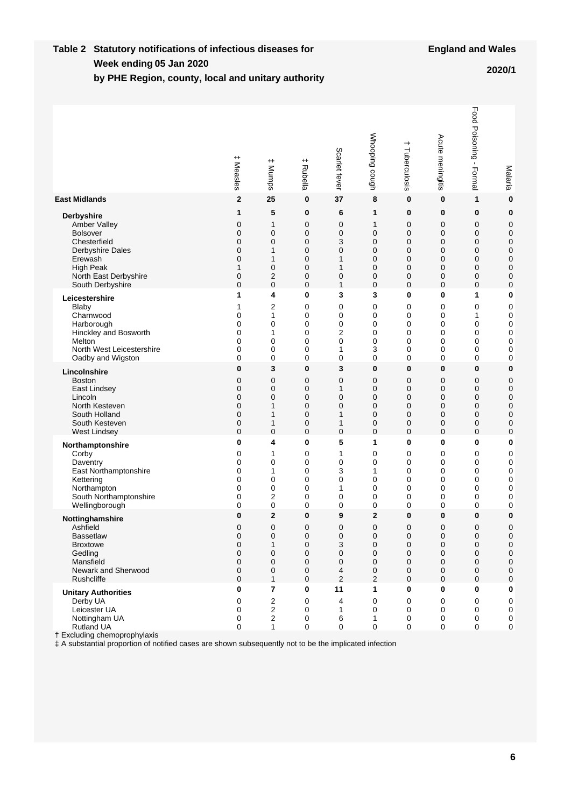#### **Week ending Table 2 Statutory notifications of infectious diseases for by PHE Region, county, local and unitary authority 05 Jan 2020 2020/1**

|                                                                                                                                                                                                                                 | $^{\rm +}$<br>Measles | $^{\rm +}$<br>Mumps                | $^{\rm +}$<br>Rubella | Scarlet fever          | Whooping cough        | $\overline{\phantom{0}}$<br>Tuberculosis | Acute meningitis      | Food Poisoning -<br>Formal   | Malaria                       |
|---------------------------------------------------------------------------------------------------------------------------------------------------------------------------------------------------------------------------------|-----------------------|------------------------------------|-----------------------|------------------------|-----------------------|------------------------------------------|-----------------------|------------------------------|-------------------------------|
| <b>East Midlands</b>                                                                                                                                                                                                            | $\mathbf{2}$          | 25                                 | 0                     | 37                     | 8                     | 0                                        | 0                     | 1                            | $\bf{0}$                      |
| <b>Derbyshire</b>                                                                                                                                                                                                               | 1                     | 5                                  | 0                     | 6                      | 1                     | 0                                        | 0                     | $\bf{0}$                     | $\bf{0}$                      |
| Amber Valley                                                                                                                                                                                                                    | 0                     | 1                                  | 0                     | 0                      | 1                     | 0                                        | 0                     | 0                            | 0                             |
| <b>Bolsover</b>                                                                                                                                                                                                                 | 0                     | $\mathbf 0$                        | 0                     | 0                      | 0                     | 0                                        | 0                     | 0                            | 0                             |
| Chesterfield                                                                                                                                                                                                                    | 0                     | $\mathbf 0$                        | 0                     | 3                      | 0                     | 0                                        | 0                     | 0                            | 0                             |
| Derbyshire Dales                                                                                                                                                                                                                | 0                     | 1                                  | 0                     | 0                      | 0                     | 0                                        | 0                     | 0                            | 0                             |
| Erewash                                                                                                                                                                                                                         | 0                     | 1                                  | 0                     | 1                      | 0                     | 0                                        | 0                     | 0                            | 0                             |
| <b>High Peak</b>                                                                                                                                                                                                                | $\mathbf{1}$          | $\mathbf 0$                        | 0                     | 1                      | 0                     | 0                                        | 0                     | 0                            | 0                             |
| North East Derbyshire                                                                                                                                                                                                           | 0                     | $\overline{2}$                     | 0                     | 0                      | 0                     | 0                                        | 0                     | 0                            | 0                             |
| South Derbyshire                                                                                                                                                                                                                | 0                     | $\mathbf 0$                        | 0                     | 1                      | 0                     | 0                                        | 0                     | 0                            | 0                             |
| Leicestershire                                                                                                                                                                                                                  | 1                     | 4                                  | 0                     | 3                      | 3                     | 0                                        | 0                     | 1                            | 0                             |
| Blaby                                                                                                                                                                                                                           | 1                     | 2                                  | 0                     | 0                      | 0                     | 0                                        | 0                     | 0                            | 0                             |
| Charnwood                                                                                                                                                                                                                       | 0                     | 1                                  | 0                     | 0                      | 0                     | 0                                        | 0                     | 1                            | $\mathbf 0$                   |
| Harborough                                                                                                                                                                                                                      | 0                     | 0                                  | 0                     | 0                      | 0                     | 0                                        | 0                     | 0                            | $\mathbf 0$                   |
| Hinckley and Bosworth                                                                                                                                                                                                           | 0                     | 1                                  | 0                     | 2                      | 0                     | 0                                        | 0                     | 0                            | $\mathbf 0$                   |
| Melton                                                                                                                                                                                                                          | 0                     | 0                                  | 0                     | 0                      | 0                     | 0                                        | 0                     | 0                            | $\mathbf 0$                   |
| North West Leicestershire                                                                                                                                                                                                       | 0                     | 0                                  | 0                     | 1                      | 3                     | 0                                        | 0                     | 0                            | 0                             |
| Oadby and Wigston                                                                                                                                                                                                               | 0                     | 0                                  | 0                     | 0                      | 0                     | 0                                        | 0                     | 0                            | 0                             |
| Lincolnshire                                                                                                                                                                                                                    | 0                     | 3                                  | 0                     | 3                      | 0                     | 0                                        | 0                     | 0                            | $\bf{0}$                      |
| <b>Boston</b>                                                                                                                                                                                                                   | 0                     | 0                                  | 0                     | 0                      | 0                     | 0                                        | 0                     | 0                            | 0                             |
| East Lindsey                                                                                                                                                                                                                    | 0                     | 0                                  | 0                     | 1                      | 0                     | 0                                        | 0                     | 0                            | 0                             |
| Lincoln                                                                                                                                                                                                                         | 0                     | 0                                  | 0                     | 0                      | 0                     | 0                                        | 0                     | 0                            | 0                             |
| North Kesteven                                                                                                                                                                                                                  | 0                     | 1                                  | 0                     | 0                      | 0                     | 0                                        | 0                     | 0                            | 0                             |
| South Holland                                                                                                                                                                                                                   | 0                     | 1                                  | 0                     | 1                      | 0                     | 0                                        | 0                     | 0                            | 0                             |
| South Kesteven                                                                                                                                                                                                                  | 0                     | 1                                  | 0                     | 1                      | 0                     | 0                                        | 0                     | 0                            | 0                             |
| West Lindsey                                                                                                                                                                                                                    | 0                     | $\mathbf 0$                        | 0                     | 0                      | 0                     | 0                                        | 0                     | 0                            | 0                             |
| Northamptonshire                                                                                                                                                                                                                | 0                     | 4                                  | 0                     | 5                      | 1                     | 0                                        | 0                     | 0                            | 0                             |
| Corby                                                                                                                                                                                                                           | 0                     | 1                                  | 0                     | 1                      | 0                     | 0                                        | 0                     | 0                            | 0                             |
| Daventry                                                                                                                                                                                                                        | 0                     | 0                                  | 0                     | 0                      | 0                     | 0                                        | 0                     | 0                            | $\mathbf 0$                   |
| East Northamptonshire                                                                                                                                                                                                           | 0                     | 1                                  | 0                     | 3                      | 1                     | 0                                        | 0                     | 0                            | $\mathbf 0$                   |
| Kettering                                                                                                                                                                                                                       | 0                     | 0                                  | 0                     | 0                      | 0                     | 0                                        | 0                     | 0                            | 0                             |
| Northampton                                                                                                                                                                                                                     | 0                     | 0                                  | 0                     | 1                      | 0                     | 0                                        | 0                     | 0                            | 0                             |
| South Northamptonshire                                                                                                                                                                                                          | 0                     | $\overline{2}$                     | 0                     | 0                      | 0                     | 0                                        | 0                     | 0                            | 0                             |
| Wellingborough                                                                                                                                                                                                                  | 0                     | 0                                  | 0                     | 0                      | 0                     | 0                                        | 0                     | 0                            | 0                             |
| Nottinghamshire                                                                                                                                                                                                                 | 0                     | $\overline{2}$                     | 0                     | 9                      | $\mathbf 2$           | 0                                        | 0                     | 0                            | 0                             |
| Ashfield                                                                                                                                                                                                                        | $\mathbf 0$           | 0                                  | 0                     | $\mathbf 0$            | 0                     | 0                                        | 0                     | 0                            | 0                             |
| Bassetlaw                                                                                                                                                                                                                       | $\mathbf 0$           | $\mathbf 0$                        | 0                     | $\mathbf 0$            | $\mathbf 0$           | $\mathbf 0$                              | 0                     | $\mathbf 0$                  | 0                             |
| <b>Broxtowe</b>                                                                                                                                                                                                                 | 0                     | 1                                  | 0                     | 3                      | 0                     | 0                                        | 0                     | 0                            | 0                             |
| Gedling                                                                                                                                                                                                                         | 0                     | 0                                  | 0                     | 0                      | 0                     | 0                                        | 0                     | 0                            | 0                             |
| Mansfield                                                                                                                                                                                                                       | 0                     | 0                                  | 0                     | 0                      | 0                     | 0                                        | 0                     | 0                            | $\mathbf 0$                   |
| Newark and Sherwood                                                                                                                                                                                                             | 0                     | 0                                  | 0                     | 4                      | 0                     | 0                                        | 0                     | 0                            | 0                             |
| Rushcliffe                                                                                                                                                                                                                      | $\Omega$              | 1                                  | 0                     | $\overline{2}$         | 2                     | 0                                        | 0                     | $\mathbf 0$                  | 0                             |
| <b>Unitary Authorities</b><br>Derby UA<br>Leicester UA<br>Nottingham UA<br>Rutland UA<br>† Excluding chemoprophylaxis<br># A substantial proportion of notified cases are shown subsequently not to be the implicated infection | 0<br>0<br>0<br>0<br>0 | 7<br>2<br>2<br>$\overline{2}$<br>1 | 0<br>0<br>0<br>0<br>0 | 11<br>4<br>1<br>6<br>0 | 1<br>0<br>0<br>1<br>0 | $\bf{0}$<br>0<br>0<br>0<br>0             | 0<br>0<br>0<br>0<br>0 | $\bf{0}$<br>0<br>0<br>0<br>0 | 0<br>0<br>0<br>0<br>$\pmb{0}$ |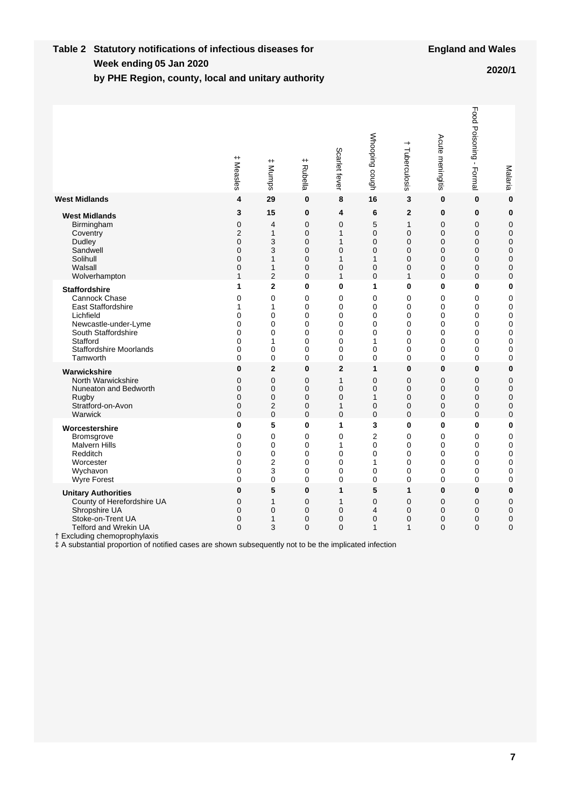#### **Week ending Table 2 Statutory notifications of infectious diseases for by PHE Region, county, local and unitary authority 05 Jan 2020 2020/1**

|                                                                                                                                                                                                                                                                          | $^+$<br>Measles                                   | $^{\rm +}$<br><b>Mumps</b>              | $^+$<br>Rubella                     | Scarlet fever                      | Whooping cough        | $\overline{\phantom{0}}$<br>Tuberculosis                          | Acute meningitis                               | Food Poisoning - Formal                                           | Malaria                                                                  |
|--------------------------------------------------------------------------------------------------------------------------------------------------------------------------------------------------------------------------------------------------------------------------|---------------------------------------------------|-----------------------------------------|-------------------------------------|------------------------------------|-----------------------|-------------------------------------------------------------------|------------------------------------------------|-------------------------------------------------------------------|--------------------------------------------------------------------------|
| <b>West Midlands</b>                                                                                                                                                                                                                                                     | 4                                                 | 29                                      | 0                                   | 8                                  | 16                    | 3                                                                 | $\bf{0}$                                       | $\mathbf{0}$                                                      | $\bf{0}$                                                                 |
| <b>West Midlands</b>                                                                                                                                                                                                                                                     | 3                                                 | 15                                      | 0                                   | 4                                  | 6                     | $\overline{2}$                                                    | $\bf{0}$                                       | $\bf{0}$                                                          | $\bf{0}$                                                                 |
| Birmingham                                                                                                                                                                                                                                                               | 0                                                 | 4                                       | 0                                   | 0                                  | 5                     | 1                                                                 | 0                                              | 0                                                                 | $\mathbf 0$                                                              |
| Coventry                                                                                                                                                                                                                                                                 | $\overline{2}$                                    | $\mathbf{1}$                            | $\overline{0}$                      | $\mathbf{1}$                       | 0                     | $\overline{0}$                                                    | $\overline{0}$                                 | $\mathbf 0$                                                       | $\mathbf 0$                                                              |
| Dudley                                                                                                                                                                                                                                                                   | $\overline{0}$                                    | 3                                       | 0                                   | 1                                  | 0                     | $\mathbf 0$                                                       | $\mathbf 0$                                    | $\mathbf 0$                                                       | $\mathbf 0$                                                              |
| Sandwell                                                                                                                                                                                                                                                                 | $\Omega$                                          | 3                                       | 0                                   | 0                                  | 0                     | 0                                                                 | 0                                              | 0                                                                 | 0                                                                        |
| Solihull                                                                                                                                                                                                                                                                 | 0                                                 | $\mathbf{1}$                            | $\overline{0}$                      | 1                                  | 1                     | 0                                                                 | $\overline{0}$                                 | $\mathbf 0$                                                       | $\mathbf 0$                                                              |
| Walsall                                                                                                                                                                                                                                                                  | 0                                                 | $\mathbf{1}$                            | $\mathbf 0$                         | 0                                  | 0                     | $\overline{0}$                                                    | $\mathbf 0$                                    | $\mathbf 0$                                                       | $\mathbf 0$                                                              |
| Wolverhampton                                                                                                                                                                                                                                                            | $\mathbf{1}$                                      | $\overline{2}$                          | 0                                   | $\mathbf{1}$                       | 0                     | $\mathbf{1}$                                                      | $\Omega$                                       | $\Omega$                                                          | $\mathbf 0$                                                              |
| <b>Staffordshire</b>                                                                                                                                                                                                                                                     | 1                                                 | $\overline{2}$                          | 0                                   | 0                                  | 1                     | $\bf{0}$                                                          | 0                                              | 0                                                                 | $\bf{0}$                                                                 |
| Cannock Chase                                                                                                                                                                                                                                                            | 0                                                 | $\overline{0}$                          | 0                                   | 0                                  | 0                     | $\Omega$                                                          | $\Omega$                                       | $\Omega$                                                          | $\mathbf 0$                                                              |
| <b>East Staffordshire</b>                                                                                                                                                                                                                                                | 1                                                 | 1                                       | 0                                   | 0                                  | 0                     | 0                                                                 | 0                                              | 0                                                                 | 0                                                                        |
| Lichfield                                                                                                                                                                                                                                                                | 0                                                 | 0                                       | 0                                   | 0                                  | 0                     | 0                                                                 | 0                                              | 0                                                                 | $\mathbf 0$                                                              |
| Newcastle-under-Lyme                                                                                                                                                                                                                                                     | 0                                                 | 0                                       | 0                                   | 0                                  | 0                     | 0                                                                 | 0                                              | 0                                                                 | $\mathbf 0$                                                              |
| South Staffordshire                                                                                                                                                                                                                                                      | $\mathbf 0$                                       | $\mathbf{0}$                            | 0                                   | 0                                  | 0                     | $\Omega$                                                          | $\Omega$                                       | $\Omega$                                                          | $\mathbf 0$                                                              |
| Stafford                                                                                                                                                                                                                                                                 | $\mathbf{0}$                                      | 1                                       | $\overline{0}$                      | 0                                  | 1                     | $\Omega$                                                          | $\Omega$                                       | $\mathbf 0$                                                       | $\mathbf 0$                                                              |
| <b>Staffordshire Moorlands</b>                                                                                                                                                                                                                                           | 0                                                 | 0                                       | 0                                   | 0                                  | 0                     | 0                                                                 | 0                                              | 0                                                                 | $\mathbf 0$                                                              |
| Tamworth                                                                                                                                                                                                                                                                 | 0                                                 | $\overline{0}$                          | 0                                   | 0                                  | 0                     | $\Omega$                                                          | $\mathbf{0}$                                   | 0                                                                 | $\mathbf 0$                                                              |
| Warwickshire                                                                                                                                                                                                                                                             | $\bf{0}$                                          | $\overline{2}$                          | 0                                   | $\overline{2}$                     | 1                     | $\mathbf{0}$                                                      | 0                                              | $\mathbf 0$                                                       | $\mathbf{0}$                                                             |
| North Warwickshire                                                                                                                                                                                                                                                       | $\overline{0}$                                    | $\Omega$                                | 0                                   | 1                                  | 0                     | $\Omega$                                                          | $\Omega$                                       | $\mathbf 0$                                                       | $\mathbf 0$                                                              |
| Nuneaton and Bedworth                                                                                                                                                                                                                                                    | 0                                                 | $\mathbf 0$                             | 0                                   | 0                                  | 0                     | $\overline{0}$                                                    | 0                                              | $\mathbf 0$                                                       | $\mathbf 0$                                                              |
| Rugby                                                                                                                                                                                                                                                                    | 0                                                 | $\mathbf 0$                             | 0                                   | 0                                  | 1                     | $\Omega$                                                          | $\Omega$                                       | $\mathbf 0$                                                       | $\mathbf 0$                                                              |
| Stratford-on-Avon                                                                                                                                                                                                                                                        | 0                                                 | 2                                       | 0                                   | $\mathbf{1}$                       | 0                     | $\mathbf 0$                                                       | 0                                              | $\mathbf 0$                                                       | $\mathbf 0$                                                              |
| Warwick                                                                                                                                                                                                                                                                  | $\Omega$                                          | $\overline{0}$                          | 0                                   | 0                                  | 0                     | $\Omega$                                                          | $\Omega$                                       | $\Omega$                                                          | $\mathbf 0$                                                              |
| Worcestershire                                                                                                                                                                                                                                                           | 0                                                 | 5                                       | 0                                   | 1                                  | 3                     | 0                                                                 | 0                                              | 0                                                                 | $\bf{0}$                                                                 |
| Bromsgrove                                                                                                                                                                                                                                                               | 0                                                 | 0                                       | 0                                   | 0                                  | $\overline{2}$        | 0                                                                 | 0                                              | 0                                                                 | $\mathbf 0$                                                              |
| <b>Malvern Hills</b>                                                                                                                                                                                                                                                     | 0                                                 | $\overline{0}$                          | 0                                   | 1                                  | 0                     | $\overline{0}$                                                    | $\overline{0}$                                 | $\mathbf 0$                                                       | $\mathbf 0$                                                              |
| Redditch                                                                                                                                                                                                                                                                 | 0                                                 | 0                                       | 0                                   | 0                                  | 0                     | 0                                                                 | 0                                              | $\mathbf 0$                                                       | $\mathbf 0$                                                              |
| Worcester                                                                                                                                                                                                                                                                | $\mathbf{0}$                                      | $\overline{2}$                          | $\mathbf{0}$                        | 0                                  | 1                     | $\Omega$                                                          | $\Omega$                                       | $\Omega$                                                          | $\mathbf 0$                                                              |
| Wychavon                                                                                                                                                                                                                                                                 | 0                                                 | 3                                       | 0                                   | 0                                  | 0                     | $\Omega$                                                          | 0                                              | 0                                                                 | $\mathbf 0$                                                              |
| Wyre Forest                                                                                                                                                                                                                                                              | 0                                                 | 0                                       | 0                                   | 0                                  | 0                     | 0                                                                 | 0                                              | 0                                                                 | $\mathbf 0$                                                              |
| <b>Unitary Authorities</b><br>County of Herefordshire UA<br>Shropshire UA<br>Stoke-on-Trent UA<br><b>Telford and Wrekin UA</b><br>† Excluding chemoprophylaxis<br># A substantial proportion of notified cases are shown subsequently not to be the implicated infection | $\bf{0}$<br>0<br>$\Omega$<br>$\Omega$<br>$\Omega$ | 5<br>$\mathbf{1}$<br>$\Omega$<br>1<br>3 | 0<br>0<br>$\Omega$<br>0<br>$\Omega$ | 1<br>1<br>0<br>0<br>$\overline{0}$ | 5<br>0<br>4<br>0<br>1 | 1<br>$\overline{0}$<br>$\Omega$<br>$\overline{0}$<br>$\mathbf{1}$ | $\mathbf{0}$<br>0<br>$\Omega$<br>0<br>$\Omega$ | $\bf{0}$<br>$\mathbf 0$<br>$\Omega$<br>$\mathbf 0$<br>$\mathbf 0$ | $\mathbf{0}$<br>$\mathbf 0$<br>$\mathbf 0$<br>$\mathbf 0$<br>$\mathbf 0$ |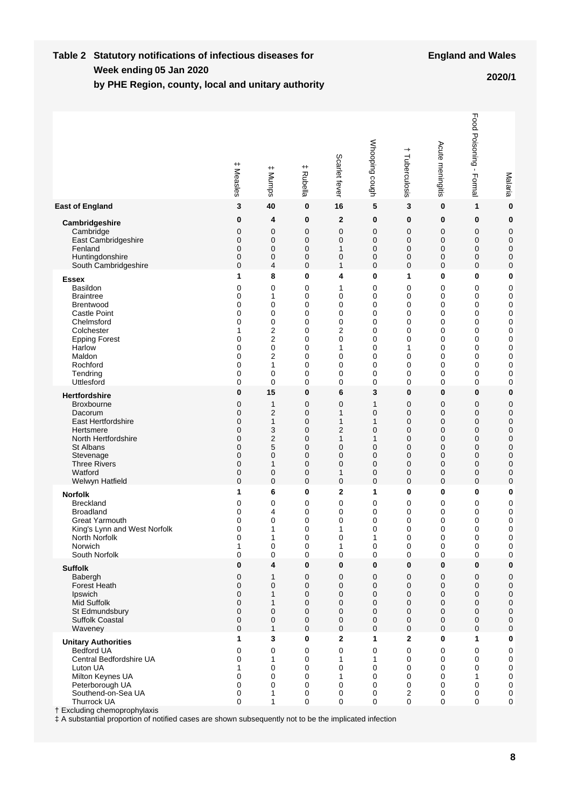#### **Week ending Table 2 Statutory notifications of infectious diseases for by PHE Region, county, local and unitary authority 05 Jan 2020 2020/1**

|                                                                                                                                                                                                                                                                                                                     | $^+$<br>Measles                      | $^{\rm +}$<br>Mumps                  | $^{\rm +}$<br>Rubella                | Scarlet fever                        | Whooping cough                       | $\hspace{0.1mm}$<br>Tuberculosis               | Acute meningitis                               | Food Poisoning -<br>Formal                     | Malaria                                               |
|---------------------------------------------------------------------------------------------------------------------------------------------------------------------------------------------------------------------------------------------------------------------------------------------------------------------|--------------------------------------|--------------------------------------|--------------------------------------|--------------------------------------|--------------------------------------|------------------------------------------------|------------------------------------------------|------------------------------------------------|-------------------------------------------------------|
| <b>East of England</b>                                                                                                                                                                                                                                                                                              | 3                                    | 40                                   | 0                                    | 16                                   | 5                                    | 3                                              | $\bf{0}$                                       | 1                                              | $\bf{0}$                                              |
| Cambridgeshire                                                                                                                                                                                                                                                                                                      | 0                                    | 4                                    | 0                                    | 2                                    | 0                                    | 0                                              | 0                                              | 0                                              | 0                                                     |
| Cambridge                                                                                                                                                                                                                                                                                                           | 0                                    | 0                                    | 0                                    | 0                                    | 0                                    | 0                                              | $\mathbf 0$                                    | 0                                              | $\mathbf 0$                                           |
| East Cambridgeshire                                                                                                                                                                                                                                                                                                 | 0                                    | 0                                    | $\mathbf 0$                          | $\mathbf 0$                          | 0                                    | 0                                              | $\mathbf 0$                                    | 0                                              | 0                                                     |
| Fenland                                                                                                                                                                                                                                                                                                             | 0                                    | $\mathbf 0$                          | $\mathbf 0$                          | 1                                    | 0                                    | $\mathbf 0$                                    | $\mathbf 0$                                    | 0                                              | $\mathbf 0$                                           |
| Huntingdonshire                                                                                                                                                                                                                                                                                                     | 0                                    | $\mathbf 0$                          | 0                                    | $\mathbf 0$                          | 0                                    | 0                                              | 0                                              | 0                                              | $\mathbf 0$                                           |
| South Cambridgeshire                                                                                                                                                                                                                                                                                                | 0                                    | 4                                    | $\mathbf 0$                          | 1                                    | 0                                    | 0                                              | $\mathbf 0$                                    | $\mathbf 0$                                    | $\mathbf 0$                                           |
| <b>Essex</b>                                                                                                                                                                                                                                                                                                        | 1                                    | 8                                    | 0                                    | 4                                    | 0                                    | 1                                              | $\bf{0}$                                       | 0                                              | 0                                                     |
| <b>Basildon</b>                                                                                                                                                                                                                                                                                                     | 0                                    | 0                                    | 0                                    | 1                                    | 0                                    | 0                                              | 0                                              | $\mathbf 0$                                    | $\mathbf 0$                                           |
| <b>Braintree</b>                                                                                                                                                                                                                                                                                                    | 0                                    | 1                                    | 0                                    | 0                                    | 0                                    | 0                                              | 0                                              | 0                                              | 0                                                     |
| <b>Brentwood</b>                                                                                                                                                                                                                                                                                                    | 0                                    | 0                                    | $\mathbf 0$                          | 0                                    | 0                                    | 0                                              | 0                                              | 0                                              | 0                                                     |
| <b>Castle Point</b>                                                                                                                                                                                                                                                                                                 | 0                                    | 0                                    | $\mathbf 0$                          | 0                                    | 0                                    | 0                                              | 0                                              | 0                                              | 0                                                     |
| Chelmsford                                                                                                                                                                                                                                                                                                          | 0                                    | 0                                    | $\mathbf 0$                          | 0                                    | 0                                    | 0                                              | 0                                              | 0                                              | 0                                                     |
| Colchester                                                                                                                                                                                                                                                                                                          | 1                                    | $\overline{2}$                       | $\mathbf 0$                          | 2                                    | 0                                    | 0                                              | 0                                              | 0                                              | 0                                                     |
| <b>Epping Forest</b>                                                                                                                                                                                                                                                                                                | 0                                    | $\overline{2}$                       | 0                                    | 0                                    | 0                                    | 0                                              | 0                                              | 0                                              | 0                                                     |
| Harlow                                                                                                                                                                                                                                                                                                              | 0                                    | 0                                    | $\mathbf 0$                          | 1                                    | 0                                    | 1                                              | $\mathbf 0$                                    | 0                                              | 0                                                     |
| Maldon                                                                                                                                                                                                                                                                                                              | 0                                    | 2                                    | 0                                    | 0                                    | 0                                    | 0                                              | 0                                              | $\mathbf 0$                                    | 0                                                     |
| Rochford                                                                                                                                                                                                                                                                                                            | 0                                    | 1                                    | 0                                    | 0                                    | 0                                    | 0                                              | 0                                              | 0                                              | 0                                                     |
| Tendring                                                                                                                                                                                                                                                                                                            | 0                                    | 0                                    | 0                                    | 0                                    | 0                                    | 0                                              | 0                                              | 0                                              | 0                                                     |
| Uttlesford                                                                                                                                                                                                                                                                                                          | 0                                    | 0                                    | 0                                    | $\mathbf 0$                          | 0                                    | 0                                              | 0                                              | $\mathbf 0$                                    | 0                                                     |
| <b>Hertfordshire</b>                                                                                                                                                                                                                                                                                                | 0                                    | 15                                   | 0                                    | 6                                    | 3                                    | 0                                              | $\bf{0}$                                       | 0                                              | 0                                                     |
| <b>Broxbourne</b>                                                                                                                                                                                                                                                                                                   | 0                                    | 1                                    | 0                                    | 0                                    | 1                                    | 0                                              | $\mathbf 0$                                    | 0                                              | $\mathbf 0$                                           |
| Dacorum                                                                                                                                                                                                                                                                                                             | 0                                    | $\overline{2}$                       | 0                                    | 1                                    | 0                                    | 0                                              | $\mathbf 0$                                    | $\mathbf 0$                                    | $\mathbf 0$                                           |
| <b>East Hertfordshire</b>                                                                                                                                                                                                                                                                                           | 0                                    | $\mathbf{1}$                         | $\mathbf 0$                          | 1                                    | 1                                    | 0                                              | $\mathbf 0$                                    | $\mathbf 0$                                    | $\mathbf 0$                                           |
| Hertsmere                                                                                                                                                                                                                                                                                                           | 0                                    | 3                                    | $\mathbf 0$                          | $\overline{2}$                       | 0                                    | 0                                              | $\mathbf 0$                                    | $\mathbf 0$                                    | $\mathbf 0$                                           |
| North Hertfordshire                                                                                                                                                                                                                                                                                                 | 0                                    | $\overline{2}$                       | 0                                    | 1                                    | 1                                    | 0                                              | $\mathbf 0$                                    | $\mathbf 0$                                    | $\mathbf 0$                                           |
| St Albans                                                                                                                                                                                                                                                                                                           | 0                                    | 5                                    | 0                                    | $\mathbf 0$                          | 0                                    | 0                                              | $\mathbf 0$                                    | $\mathbf 0$                                    | $\mathbf 0$                                           |
| Stevenage                                                                                                                                                                                                                                                                                                           | 0                                    | $\mathbf 0$                          | $\mathbf 0$                          | 0                                    | 0                                    | 0                                              | $\mathbf 0$                                    | $\mathbf 0$                                    | $\mathbf 0$                                           |
| <b>Three Rivers</b>                                                                                                                                                                                                                                                                                                 | 0                                    | 1                                    | 0                                    | $\mathbf 0$                          | 0                                    | 0                                              | $\mathbf 0$                                    | 0                                              | 0                                                     |
| Watford                                                                                                                                                                                                                                                                                                             | 0                                    | $\mathbf 0$                          | $\mathbf 0$                          | 1                                    | 0                                    | 0                                              | 0                                              | $\mathbf 0$                                    | $\mathbf 0$                                           |
| Welwyn Hatfield                                                                                                                                                                                                                                                                                                     | $\overline{0}$                       | $\mathbf 0$                          | $\mathbf 0$                          | 0                                    | 0                                    | $\mathbf 0$                                    | $\mathbf 0$                                    | $\mathbf 0$                                    | $\mathbf 0$                                           |
| <b>Norfolk</b>                                                                                                                                                                                                                                                                                                      | 1                                    | 6                                    | 0                                    | 2                                    | 1                                    | 0                                              | $\bf{0}$                                       | 0                                              | 0                                                     |
| <b>Breckland</b>                                                                                                                                                                                                                                                                                                    | 0                                    | 0                                    | 0                                    | 0                                    | 0                                    | 0                                              | 0                                              | 0                                              | 0                                                     |
| <b>Broadland</b>                                                                                                                                                                                                                                                                                                    | 0                                    | 4                                    | 0                                    | 0                                    | 0                                    | 0                                              | 0                                              | 0                                              | 0                                                     |
| <b>Great Yarmouth</b>                                                                                                                                                                                                                                                                                               | 0                                    | 0                                    | 0                                    | 0                                    | 0                                    | 0                                              | 0                                              | 0                                              | 0                                                     |
| King's Lynn and West Norfolk                                                                                                                                                                                                                                                                                        | 0                                    | 1                                    | 0                                    | 1                                    | 0                                    | 0                                              | 0                                              | 0                                              | 0                                                     |
| North Norfolk                                                                                                                                                                                                                                                                                                       | 0                                    | 1                                    | 0                                    | 0                                    | 1                                    | $\Omega$                                       | $\Omega$                                       | $\Omega$                                       | 0                                                     |
| Norwich                                                                                                                                                                                                                                                                                                             | 1                                    | 0                                    | 0                                    | 1                                    | 0                                    | 0                                              | 0                                              | 0                                              | 0                                                     |
| South Norfolk                                                                                                                                                                                                                                                                                                       | 0                                    | 0                                    | 0                                    | $\mathbf 0$                          | 0                                    | 0                                              | 0                                              | $\pmb{0}$                                      | 0                                                     |
| <b>Suffolk</b>                                                                                                                                                                                                                                                                                                      | 0                                    | 4                                    | 0                                    | 0                                    | 0                                    | 0                                              | 0                                              | $\mathbf 0$                                    | $\bf{0}$                                              |
| Babergh                                                                                                                                                                                                                                                                                                             | 0                                    | $\mathbf{1}$                         | 0                                    | 0                                    | 0                                    | 0                                              | $\mathbf 0$                                    | 0                                              | $\mathbf 0$                                           |
| <b>Forest Heath</b>                                                                                                                                                                                                                                                                                                 | 0                                    | 0                                    | 0                                    | 0                                    | 0                                    | 0                                              | 0                                              | $\mathbf 0$                                    | $\mathbf 0$                                           |
| Ipswich                                                                                                                                                                                                                                                                                                             | 0                                    | 1                                    | 0                                    | 0                                    | 0                                    | 0                                              | 0                                              | $\mathbf 0$                                    | $\mathbf 0$                                           |
| Mid Suffolk                                                                                                                                                                                                                                                                                                         | 0                                    | 1                                    | 0                                    | 0                                    | 0                                    | 0                                              | $\mathbf 0$                                    | $\mathbf 0$                                    | $\mathbf 0$                                           |
| St Edmundsbury                                                                                                                                                                                                                                                                                                      | 0                                    | $\mathbf 0$                          | 0                                    | 0                                    | 0                                    | 0                                              | 0                                              | $\mathbf 0$                                    | $\Omega$                                              |
| <b>Suffolk Coastal</b>                                                                                                                                                                                                                                                                                              | 0                                    | 0                                    | 0                                    | $\mathbf 0$                          | 0                                    | 0                                              | 0                                              | $\mathbf 0$                                    | $\mathbf 0$                                           |
| Waveney                                                                                                                                                                                                                                                                                                             | 0                                    | $\mathbf{1}$                         | $\mathbf 0$                          | 0                                    | 0                                    | 0                                              | 0                                              | 0                                              | $\Omega$                                              |
| <b>Unitary Authorities</b><br><b>Bedford UA</b><br>Central Bedfordshire UA<br>Luton UA<br>Milton Keynes UA<br>Peterborough UA<br>Southend-on-Sea UA<br><b>Thurrock UA</b><br>† Excluding chemoprophylaxis<br># A substantial proportion of notified cases are shown subsequently not to be the implicated infection | 1<br>0<br>0<br>1<br>0<br>0<br>0<br>0 | 3<br>0<br>1<br>0<br>0<br>0<br>1<br>1 | 0<br>0<br>0<br>0<br>0<br>0<br>0<br>0 | 2<br>0<br>1<br>0<br>1<br>0<br>0<br>0 | 1<br>0<br>1<br>0<br>0<br>0<br>0<br>0 | $\mathbf 2$<br>0<br>0<br>0<br>0<br>0<br>2<br>0 | 0<br>0<br>0<br>0<br>0<br>0<br>0<br>$\mathbf 0$ | 1<br>0<br>0<br>0<br>1<br>$\mathbf 0$<br>0<br>0 | $\bf{0}$<br>0<br>0<br>0<br>0<br>$\mathbf 0$<br>0<br>0 |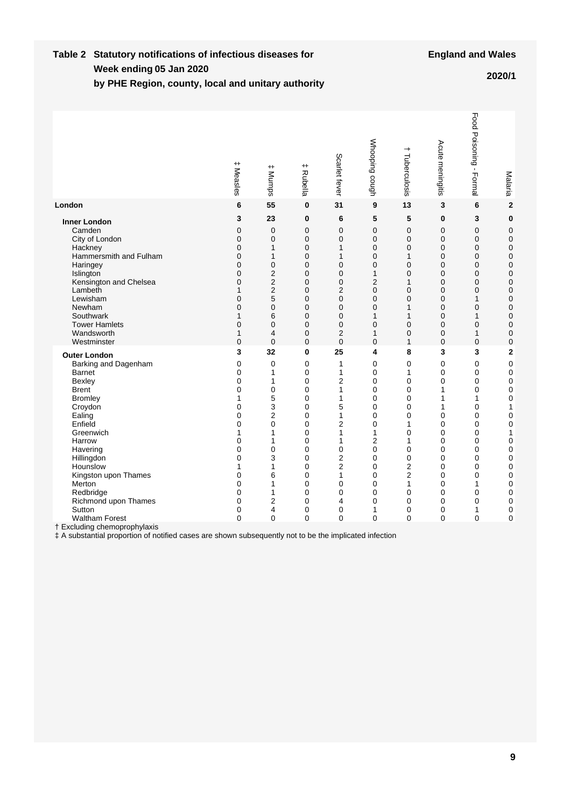#### **Week ending Table 2 Statutory notifications of infectious diseases for by PHE Region, county, local and unitary authority 05 Jan 2020 2020/1**

|                                                                                                                                                                                                                                                                                                                                                                                                                                                           | # Measles                                                                                                   | $^+$<br>Mumps                                                                                                                                                               | $^+$<br>Rubella                                                                                                                                                                                                                          | Scarlet fever                                                                                                                                                                                                                                                                   | Whooping cough                                                                                                                                                                                                                                                        | +<br>Tuberculosis                                                                                                                                                                                 | Acute meningitis                                                                                 | Food Poisoning -<br>Formal                                                                                  | Malaria                                                                                                                                                                                                                                                            |
|-----------------------------------------------------------------------------------------------------------------------------------------------------------------------------------------------------------------------------------------------------------------------------------------------------------------------------------------------------------------------------------------------------------------------------------------------------------|-------------------------------------------------------------------------------------------------------------|-----------------------------------------------------------------------------------------------------------------------------------------------------------------------------|------------------------------------------------------------------------------------------------------------------------------------------------------------------------------------------------------------------------------------------|---------------------------------------------------------------------------------------------------------------------------------------------------------------------------------------------------------------------------------------------------------------------------------|-----------------------------------------------------------------------------------------------------------------------------------------------------------------------------------------------------------------------------------------------------------------------|---------------------------------------------------------------------------------------------------------------------------------------------------------------------------------------------------|--------------------------------------------------------------------------------------------------|-------------------------------------------------------------------------------------------------------------|--------------------------------------------------------------------------------------------------------------------------------------------------------------------------------------------------------------------------------------------------------------------|
| London                                                                                                                                                                                                                                                                                                                                                                                                                                                    | 6                                                                                                           | 55                                                                                                                                                                          | $\mathbf 0$                                                                                                                                                                                                                              | 31                                                                                                                                                                                                                                                                              | 9                                                                                                                                                                                                                                                                     | 13                                                                                                                                                                                                | 3                                                                                                | 6                                                                                                           | $\overline{\mathbf{2}}$                                                                                                                                                                                                                                            |
| <b>Inner London</b><br>Camden<br>City of London<br>Hackney<br>Hammersmith and Fulham<br>Haringey<br>Islington<br>Kensington and Chelsea<br>Lambeth<br>Lewisham<br>Newham<br>Southwark<br><b>Tower Hamlets</b><br>Wandsworth<br>Westminster                                                                                                                                                                                                                | 3<br>0<br>0<br>0<br>0<br>0<br>0<br>0<br>1<br>0<br>0<br>1<br>0<br>$\mathbf{1}$<br>$\overline{0}$             | 23<br>$\mathbf 0$<br>$\mathbf 0$<br>1<br>1<br>0<br>$\overline{2}$<br>$\overline{2}$<br>$\overline{2}$<br>5<br>0<br>6<br>$\Omega$<br>$\overline{\mathbf{4}}$<br>$\mathbf{0}$ | $\mathbf 0$<br>$\mathbf 0$<br>$\mathbf 0$<br>$\mathbf 0$<br>0<br>$\mathbf 0$<br>0<br>$\mathbf 0$<br>0<br>$\mathbf 0$<br>0<br>$\mathbf 0$<br>$\Omega$<br>$\mathbf 0$<br>$\Omega$                                                          | 6<br>$\mathbf 0$<br>$\mathbf 0$<br>$\mathbf{1}$<br>$\mathbf{1}$<br>$\mathbf 0$<br>$\mathbf 0$<br>$\mathbf 0$<br>$\overline{2}$<br>$\mathbf 0$<br>$\mathbf 0$<br>$\mathbf 0$<br>$\mathbf 0$<br>$\overline{2}$<br>$\Omega$                                                        | 5<br>$\mathbf 0$<br>$\mathbf 0$<br>$\mathbf 0$<br>$\mathbf 0$<br>$\mathbf 0$<br>1<br>$\overline{2}$<br>$\mathbf 0$<br>0<br>$\mathbf 0$<br>1<br>$\mathbf 0$<br>$\mathbf{1}$<br>$\mathbf 0$                                                                             | 5<br>$\mathbf 0$<br>$\mathbf{0}$<br>$\mathbf{0}$<br>1<br>0<br>0<br>1<br>0<br>0<br>1<br>1<br>$\overline{0}$<br>0<br>$\mathbf{1}$                                                                   | 0<br>0<br>0<br>0<br>0<br>0<br>0<br>0<br>0<br>0<br>0<br>0<br>0<br>0<br>$\overline{0}$             | 3<br>0<br>0<br>0<br>0<br>0<br>0<br>0<br>0<br>1<br>0<br>1<br>0<br>$\mathbf{1}$<br>0                          | $\bf{0}$<br>0<br>0<br>$\mathbf 0$<br>0<br>$\mathbf 0$<br>0<br>$\mathbf 0$<br>0<br>$\mathbf 0$<br>0<br>$\mathbf 0$<br>0<br>$\overline{0}$<br>$\mathbf 0$                                                                                                            |
| <b>Outer London</b><br>Barking and Dagenham<br><b>Barnet</b><br>Bexley<br><b>Brent</b><br><b>Bromley</b><br>Croydon<br>Ealing<br>Enfield<br>Greenwich<br>Harrow<br>Havering<br>Hillingdon<br>Hounslow<br>Kingston upon Thames<br>Merton<br>Redbridge<br>Richmond upon Thames<br>Sutton<br><b>Waltham Forest</b><br>† Excluding chemoprophylaxis<br># A substantial proportion of notified cases are shown subsequently not to be the implicated infection | 3<br>0<br>$\mathbf{0}$<br>0<br>0<br>1<br>0<br>0<br>0<br>1<br>0<br>0<br>0<br>1<br>0<br>0<br>0<br>0<br>0<br>0 | 32<br>$\mathbf 0$<br>1<br>1<br>0<br>5<br>3<br>$\overline{2}$<br>0<br>1<br>1<br>$\mathbf 0$<br>3<br>1<br>6<br>1<br>1<br>$\overline{2}$<br>4<br>0                             | $\mathbf 0$<br>$\Omega$<br>$\Omega$<br>$\Omega$<br>$\Omega$<br>$\Omega$<br>$\Omega$<br>$\Omega$<br>$\Omega$<br>$\mathbf 0$<br>0<br>$\mathbf 0$<br>0<br>$\mathbf 0$<br>$\mathbf 0$<br>0<br>0<br>$\mathbf 0$<br>$\mathbf 0$<br>$\mathbf 0$ | 25<br>$\mathbf{1}$<br>$\mathbf{1}$<br>$\overline{2}$<br>$\mathbf{1}$<br>$\mathbf{1}$<br>5<br>$\mathbf{1}$<br>$\overline{2}$<br>$\mathbf{1}$<br>$\mathbf{1}$<br>$\mathbf 0$<br>2<br>$\overline{2}$<br>$\mathbf{1}$<br>$\mathbf 0$<br>$\mathbf 0$<br>4<br>$\mathbf 0$<br>$\Omega$ | 4<br>$\mathbf 0$<br>$\mathbf 0$<br>$\mathbf 0$<br>$\mathbf 0$<br>$\mathbf 0$<br>$\mathbf 0$<br>$\mathbf 0$<br>$\mathbf 0$<br>$\mathbf{1}$<br>$\overline{2}$<br>$\mathbf 0$<br>$\mathbf 0$<br>$\mathbf 0$<br>$\mathbf 0$<br>0<br>0<br>0<br>$\mathbf{1}$<br>$\mathbf 0$ | 8<br>$\Omega$<br>1<br>$\mathbf 0$<br>0<br>$\Omega$<br>0<br>$\mathbf 0$<br>1<br>$\mathbf 0$<br>1<br>$\mathbf 0$<br>0<br>2<br>$\overline{2}$<br>1<br>0<br>$\mathbf 0$<br>$\mathbf 0$<br>$\mathbf 0$ | 3<br>0<br>0<br>0<br>1<br>1<br>1<br>0<br>0<br>0<br>0<br>0<br>0<br>0<br>0<br>0<br>0<br>0<br>0<br>0 | 3<br>0<br>0<br>0<br>0<br>1<br>0<br>0<br>0<br>0<br>0<br>0<br>0<br>0<br>0<br>1<br>0<br>0<br>$\mathbf{1}$<br>0 | $\overline{\mathbf{2}}$<br>$\mathbf 0$<br>$\mathbf 0$<br>$\mathbf 0$<br>$\mathbf 0$<br>$\mathbf 0$<br>1<br>$\mathbf 0$<br>$\mathbf 0$<br>1<br>$\mathbf 0$<br>$\mathbf 0$<br>$\mathbf 0$<br>$\mathbf 0$<br>$\mathbf 0$<br>$\mathbf 0$<br>0<br>$\mathbf 0$<br>0<br>0 |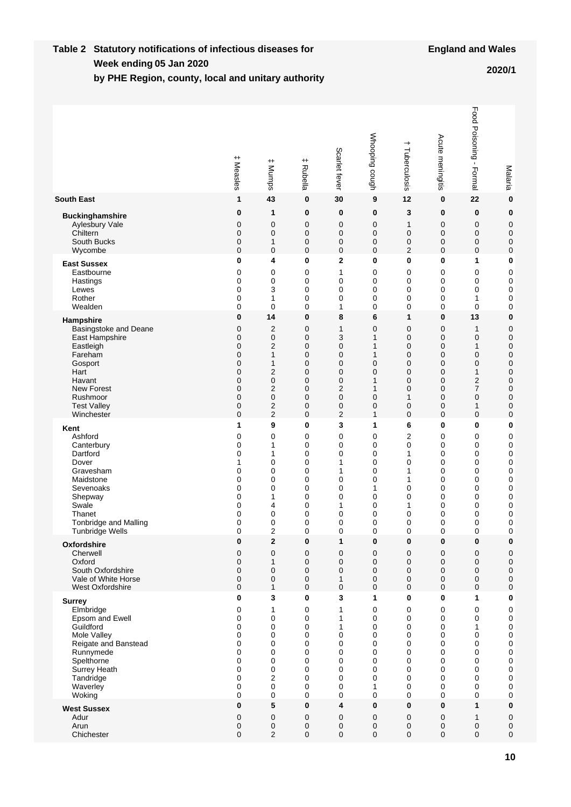#### **Week ending Table 2 Statutory notifications of infectious diseases for by PHE Region, county, local and unitary authority 05 Jan 2020 2020/1**

|                        | $^{\mathrm{+}}$<br>Measles | $^{\rm +}$<br>Mumps | $^+$<br>Rubella | Scarlet fever  | Whooping cough | +<br>Tuberculosis | Acute meningitis | Food Poisoning -<br>Formal | Malaria          |
|------------------------|----------------------------|---------------------|-----------------|----------------|----------------|-------------------|------------------|----------------------------|------------------|
| <b>South East</b>      | 1                          | 43                  | 0               | 30             | 9              | 12                | $\bf{0}$         | 22                         | $\bf{0}$         |
| <b>Buckinghamshire</b> | 0                          | 1                   | 0               | 0              | 0              | 3                 | 0                | 0                          | $\bf{0}$         |
| Aylesbury Vale         | 0                          | 0                   | 0               | 0              | 0              | 1                 | 0                | 0                          | $\mathbf 0$      |
| Chiltern               | 0                          | $\mathbf 0$         | 0               | 0              | 0              | 0                 | 0                | 0                          | $\mathbf 0$      |
| South Bucks            | 0                          | 1                   | 0               | 0              | 0              | 0                 | 0                | 0                          | $\mathbf 0$      |
| Wycombe                | 0                          | $\mathbf 0$         | 0               | 0              | 0              | $\overline{2}$    | $\mathbf 0$      | 0                          | $\mathbf 0$      |
| <b>East Sussex</b>     | 0                          | 4                   | 0               | $\mathbf 2$    | 0              | $\bf{0}$          | $\bf{0}$         | 1                          | 0                |
| Eastbourne             | 0                          | 0                   | 0               | 1              | 0              | $\mathbf 0$       | 0                | 0                          | 0                |
| Hastings               | 0                          | 0                   | 0               | 0              | 0              | 0                 | 0                | 0                          | 0                |
| Lewes                  | 0                          | 3                   | 0               | 0              | 0              | 0                 | 0                | 0                          | 0                |
| Rother                 | 0                          | 1                   | 0               | 0              | 0              | 0                 | 0                | 1                          | 0                |
| Wealden                | 0                          | 0                   | 0               | 1              | 0              | 0                 | 0                | 0                          | 0                |
| Hampshire              | $\bf{0}$                   | 14                  | 0               | 8              | 6              | 1                 | 0                | 13                         | $\bf{0}$         |
| Basingstoke and Deane  | 0                          | $\overline{2}$      | 0               | 1              | 0              | 0                 | 0                | 1                          | 0                |
| East Hampshire         | 0                          | 0                   | 0               | 3              | 1              | 0                 | 0                | $\mathbf 0$                | $\mathbf 0$      |
| Eastleigh              | 0                          | $\overline{2}$      | 0               | 0              | 1              | $\mathbf 0$       | $\mathbf 0$      | $\mathbf{1}$               | $\mathbf 0$      |
| Fareham                | 0                          | $\mathbf{1}$        | 0               | 0              | 1              | 0                 | 0                | $\mathbf 0$                | $\mathbf 0$      |
| Gosport                | 0                          | 1                   | 0               | 0              | 0              | $\mathbf 0$       | $\overline{0}$   | $\mathbf 0$                | $\mathbf 0$      |
| Hart                   | 0                          | $\overline{2}$      | 0               | 0              | 0              | 0                 | $\mathbf 0$      | 1                          | $\mathbf 0$      |
| Havant                 | 0                          | $\mathbf 0$         | 0               | 0              | 1              | 0                 | 0                | $\overline{2}$             | $\mathbf 0$      |
| <b>New Forest</b>      | 0                          | 2                   | 0               | 2              | 1              | 0                 | 0                | 7                          | $\mathbf 0$      |
| Rushmoor               | 0                          | $\mathbf 0$         | 0               | 0              | 0              | 1                 | 0                | $\mathbf 0$                | $\mathbf 0$      |
| <b>Test Valley</b>     | 0                          | 2                   | 0               | 0              | 0              | 0                 | 0                | 1                          | 0                |
| Winchester             | 0                          | $\overline{2}$      | 0               | $\overline{2}$ | 1              | $\mathbf 0$       | $\mathbf 0$      | $\mathbf 0$                | 0                |
| Kent                   | 1                          | 9                   | 0               | 3              | 1              | 6                 | $\bf{0}$         | 0                          | 0                |
| Ashford                | 0                          | 0                   | 0               | 0              | 0              | 2                 | 0                | 0                          | 0                |
| Canterbury             | 0                          | 1                   | 0               | 0              | 0              | 0                 | $\mathbf 0$      | 0                          | 0                |
| Dartford               | 0                          | 1                   | 0               | 0              | 0              | 1                 | $\mathbf 0$      | 0                          | 0                |
| Dover                  | 1                          | 0                   | 0               | 1              | 0              | 0                 | $\mathbf 0$      | 0                          | 0                |
| Gravesham              | 0                          | 0                   | 0               | 1              | 0              | 1                 | $\mathbf 0$      | 0                          | 0                |
| Maidstone              | 0                          | 0                   | 0               | 0              | 0              | 1                 | 0                | 0                          | 0                |
| Sevenoaks              | 0                          | 0                   | 0               | 0              | 1              | 0                 | $\mathbf 0$      | 0                          | 0                |
| Shepway                | 0                          | 1                   | 0               | 0              | 0              | 0                 | 0                | 0                          | 0                |
| Swale                  | 0                          | 4                   | 0               | 1              | 0              | 1                 | 0                | 0                          | 0                |
| Thanet                 | 0                          | 0                   | 0               | 0              | 0              | 0                 | 0                | 0                          | 0                |
| Tonbridge and Malling  | 0                          | 0                   | 0               | 0              | 0              | 0                 | 0                | 0                          | 0                |
| <b>Tunbridge Wells</b> | 0                          | $\overline{2}$      | 0               | 0              | 0              | 0                 | 0                | 0                          | 0                |
| Oxfordshire            | 0                          | $\mathbf 2$         | 0               | 1              | 0              | 0                 | 0                | 0                          | 0                |
| Cherwell               | 0                          | $\mathbf 0$         | 0               | 0              | 0              | 0                 | $\mathbf 0$      | 0                          | $\boldsymbol{0}$ |
| Oxford                 | 0                          | $\mathbf{1}$        | 0               | 0              | 0              | 0                 | $\mathbf 0$      | 0                          | $\pmb{0}$        |
| South Oxfordshire      | 0                          | 0                   | 0               | 0              | 0              | $\mathbf 0$       | $\mathbf 0$      | 0                          | $\pmb{0}$        |
| Vale of White Horse    | 0                          | 0                   | 0               | $\mathbf{1}$   | 0              | 0                 | $\pmb{0}$        | $\pmb{0}$                  | $\pmb{0}$        |
| West Oxfordshire       | 0                          | $\mathbf{1}$        | 0               | 0              | 0              | $\mathbf 0$       | $\mathbf 0$      | 0                          | $\pmb{0}$        |
| <b>Surrey</b>          | 0                          | 3                   | 0               | 3              | 1              | 0                 | 0                | 1                          | $\bf{0}$         |
| Elmbridge              | 0                          | 1                   | 0               | 1              | 0              | 0                 | 0                | 0                          | 0                |
| Epsom and Ewell        | 0                          | 0                   | 0               | 1              | 0              | 0                 | 0                | 0                          | $\pmb{0}$        |
| Guildford              | 0                          | 0                   | 0               | 1              | 0              | $\mathbf 0$       | 0                | 1                          | $\pmb{0}$        |
| Mole Valley            | 0                          | 0                   | 0               | 0              | 0              | 0                 | 0                | 0                          | $\pmb{0}$        |
| Reigate and Banstead   | 0                          | 0                   | 0               | 0              | 0              | $\mathbf 0$       | 0                | 0                          | $\mathbf 0$      |
| Runnymede              | 0                          | 0                   | 0               | 0              | 0              | 0                 | 0                | 0                          | 0                |
| Spelthorne             | 0                          | 0                   | 0               | 0              | 0              | $\mathbf 0$       | 0                | 0                          | 0                |
| Surrey Heath           | 0                          | 0                   | 0               | 0              | 0              | 0                 | 0                | 0                          | 0                |
| Tandridge              | $\mathbf 0$                | $\overline{2}$      | 0               | 0              | 0              | $\mathbf 0$       | 0                | 0                          | 0                |
| Waverley               | 0                          | 0                   | 0               | 0              | 1              | 0                 | 0                | 0                          | 0                |
| Woking                 | $\mathbf 0$                | 0                   | 0               | 0              | 0              | $\mathbf 0$       | 0                | 0                          | 0                |
| <b>West Sussex</b>     | 0                          | 5                   | 0               | 4              | 0              | $\pmb{0}$         | $\pmb{0}$        | 1                          | $\bf{0}$         |
| Adur                   | 0                          | 0                   | 0               | 0              | 0              | 0                 | $\mathbf 0$      | $\mathbf{1}$               | $\pmb{0}$        |
| Arun                   | 0                          | 0                   | 0               | 0              | 0              | 0                 | 0                | 0                          | $\pmb{0}$        |
| Chichester             | 0                          | $\overline{2}$      | 0               | 0              | 0              | 0                 | $\mathbf 0$      | 0                          | 0                |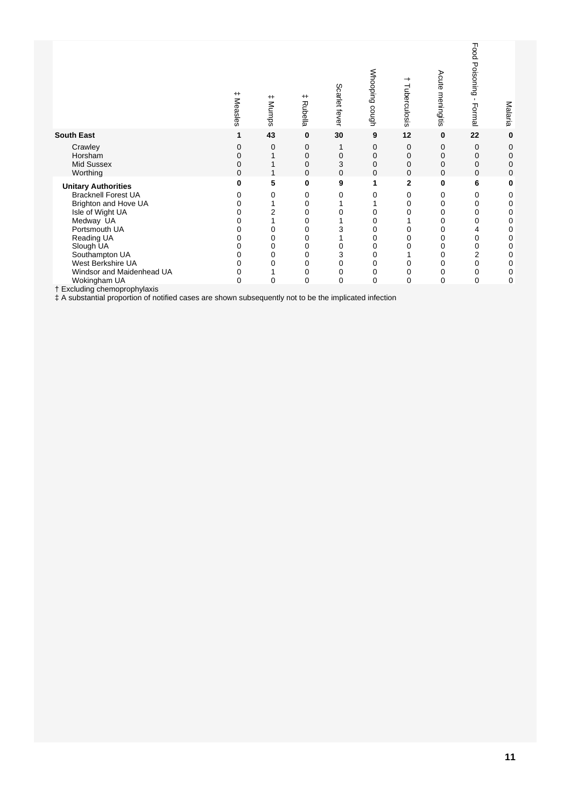|                                                                                                        | $^+$<br>Measles  | $^+$<br>Mumps  | $^+$<br>Rubella  | Scarlet fever      | Whooping cough   | Tuberculosis     | Acute meningitis | Food<br>Poisoning<br>$\blacksquare$<br>Formal | Malaria          |
|--------------------------------------------------------------------------------------------------------|------------------|----------------|------------------|--------------------|------------------|------------------|------------------|-----------------------------------------------|------------------|
| <b>South East</b>                                                                                      | 1                | 43             | $\bf{0}$         | 30                 | 9                | 12               | $\bf{0}$         | 22                                            | $\bf{0}$         |
| Crawley<br>Horsham<br><b>Mid Sussex</b><br>Worthing                                                    | 0<br>0<br>0<br>0 | 0              | 0<br>0<br>0<br>0 | 0<br>3<br>$\Omega$ | 0<br>0<br>0<br>0 | 0<br>0<br>0<br>0 | 0<br>0<br>0<br>0 | 0<br>0<br>$\mathbf 0$<br>$\Omega$             | 0<br>0<br>0<br>0 |
| <b>Unitary Authorities</b>                                                                             | 0                | 5              | 0                | 9                  | 1                | $\mathbf{2}$     | 0                | 6                                             | 0                |
| <b>Bracknell Forest UA</b>                                                                             |                  | 0              | 0                | 0                  | 0                | 0                | 0                | 0                                             | 0                |
| Brighton and Hove UA                                                                                   |                  |                | 0                |                    |                  | 0                | 0                | 0                                             | 0                |
| Isle of Wight UA                                                                                       |                  | $\overline{c}$ | 0                |                    | 0                | 0                | 0                | 0                                             | 0                |
| Medway UA                                                                                              |                  |                | 0                |                    | 0                |                  |                  | 0                                             | 0                |
| Portsmouth UA                                                                                          |                  | 0              | 0                |                    | 0                | 0                | 0                | 4                                             | 0                |
| Reading UA                                                                                             |                  | 0              | 0                |                    | 0                | 0                | 0                | $\Omega$                                      | 0                |
| Slough UA                                                                                              |                  | 0              | 0                | 0                  | 0                | 0                | 0                | 0                                             | 0                |
| Southampton UA                                                                                         | O                | 0              | 0                | 3                  | 0                |                  | 0                | $\overline{2}$                                | 0                |
| West Berkshire UA                                                                                      |                  | 0              | 0                | 0                  | 0                | 0                | 0                | 0                                             | 0                |
| Windsor and Maidenhead UA                                                                              | 0                |                | 0                | $\mathbf 0$        | 0                | 0                | $\mathbf 0$      | 0                                             | 0                |
| Wokingham UA                                                                                           | 0                | 0              | 0                | $\Omega$           | 0                | $\overline{0}$   | $\mathbf 0$      | 0                                             | 0                |
| † Excluding chemoprophylaxis                                                                           |                  |                |                  |                    |                  |                  |                  |                                               |                  |
| # A substantial proportion of notified cases are shown subsequently not to be the implicated infection |                  |                |                  |                    |                  |                  |                  |                                               |                  |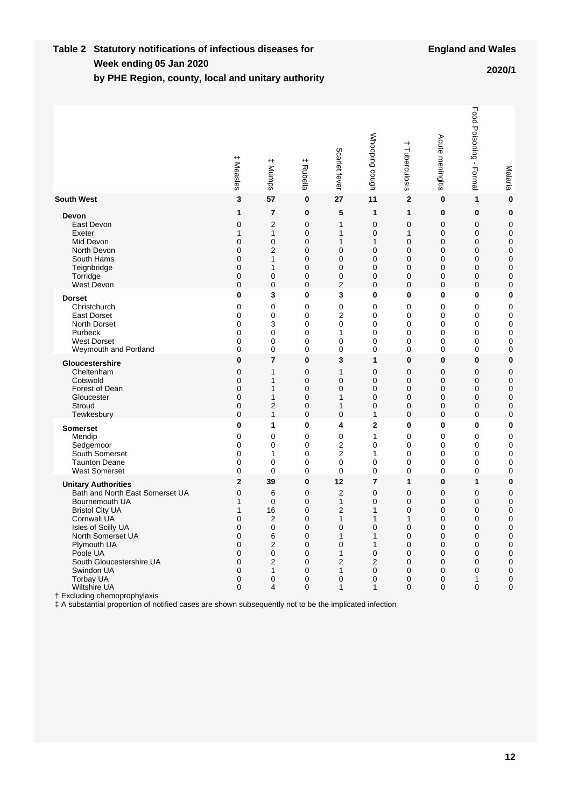#### **Week ending Table 2 Statutory notifications of infectious diseases for by PHE Region, county, local and unitary authority 05 Jan 2020 2020/1**

|                                                                                                                                                                                                                                                                                                                                                                                                                        | $^+$<br>Measles                                                            | $^{\rm +}$<br>: Mumps                                                        | $^{\mathrm{+}}$<br>Rubella                                                        | Scarlet fever                                                               | Whooping cough                                                                               | $\overline{\phantom{0}}$<br>Tuberculosis                                 | Acute meningitis                                                         | Food Poisoning - Formal                                                 | Malaria                                                                                       |
|------------------------------------------------------------------------------------------------------------------------------------------------------------------------------------------------------------------------------------------------------------------------------------------------------------------------------------------------------------------------------------------------------------------------|----------------------------------------------------------------------------|------------------------------------------------------------------------------|-----------------------------------------------------------------------------------|-----------------------------------------------------------------------------|----------------------------------------------------------------------------------------------|--------------------------------------------------------------------------|--------------------------------------------------------------------------|-------------------------------------------------------------------------|-----------------------------------------------------------------------------------------------|
| <b>South West</b>                                                                                                                                                                                                                                                                                                                                                                                                      | 3                                                                          | 57                                                                           | 0                                                                                 | 27                                                                          | 11                                                                                           | $\overline{2}$                                                           | 0                                                                        | 1                                                                       | $\bf{0}$                                                                                      |
| Devon                                                                                                                                                                                                                                                                                                                                                                                                                  | 1                                                                          | 7                                                                            | 0                                                                                 | 5                                                                           | 1                                                                                            | 1                                                                        | 0                                                                        | 0                                                                       | 0                                                                                             |
| East Devon                                                                                                                                                                                                                                                                                                                                                                                                             | 0                                                                          | $\overline{2}$                                                               | 0                                                                                 | 1                                                                           | $\mathbf 0$                                                                                  | $\mathbf 0$                                                              | 0                                                                        | 0                                                                       | 0                                                                                             |
| Exeter                                                                                                                                                                                                                                                                                                                                                                                                                 | 1                                                                          | 1                                                                            | 0                                                                                 | 1                                                                           | $\mathbf 0$                                                                                  | 1                                                                        | 0                                                                        | 0                                                                       | $\mathbf 0$                                                                                   |
| Mid Devon                                                                                                                                                                                                                                                                                                                                                                                                              | 0                                                                          | 0                                                                            | 0                                                                                 | 1                                                                           | 1                                                                                            | $\Omega$                                                                 | 0                                                                        | 0                                                                       | 0                                                                                             |
| North Devon                                                                                                                                                                                                                                                                                                                                                                                                            | 0                                                                          | 2                                                                            | 0                                                                                 | $\mathbf 0$                                                                 | $\mathbf 0$                                                                                  | 0                                                                        | 0                                                                        | 0                                                                       | 0                                                                                             |
| South Hams                                                                                                                                                                                                                                                                                                                                                                                                             | 0                                                                          | 1                                                                            | 0                                                                                 | $\mathbf 0$                                                                 | $\mathbf 0$                                                                                  | 0                                                                        | 0                                                                        | 0                                                                       | 0                                                                                             |
| Teignbridge                                                                                                                                                                                                                                                                                                                                                                                                            | 0                                                                          | 1                                                                            | 0                                                                                 | $\mathbf 0$                                                                 | $\mathbf 0$                                                                                  | 0                                                                        | 0                                                                        | 0                                                                       | 0                                                                                             |
| Torridge                                                                                                                                                                                                                                                                                                                                                                                                               | 0                                                                          | $\mathbf 0$                                                                  | 0                                                                                 | 0                                                                           | 0                                                                                            | 0                                                                        | 0                                                                        | 0                                                                       | 0                                                                                             |
| <b>West Devon</b>                                                                                                                                                                                                                                                                                                                                                                                                      | 0                                                                          | $\mathbf 0$                                                                  | 0                                                                                 | $\overline{2}$                                                              | $\mathbf 0$                                                                                  | 0                                                                        | 0                                                                        | 0                                                                       | 0                                                                                             |
| <b>Dorset</b>                                                                                                                                                                                                                                                                                                                                                                                                          | 0                                                                          | 3                                                                            | 0                                                                                 | 3                                                                           | 0                                                                                            | 0                                                                        | 0                                                                        | 0                                                                       | 0                                                                                             |
| Christchurch                                                                                                                                                                                                                                                                                                                                                                                                           | 0                                                                          | 0                                                                            | 0                                                                                 | $\mathbf 0$                                                                 | 0                                                                                            | 0                                                                        | 0                                                                        | 0                                                                       | 0                                                                                             |
| <b>East Dorset</b>                                                                                                                                                                                                                                                                                                                                                                                                     | 0                                                                          | 0                                                                            | 0                                                                                 | $\overline{2}$                                                              | 0                                                                                            | 0                                                                        | 0                                                                        | 0                                                                       | 0                                                                                             |
| North Dorset                                                                                                                                                                                                                                                                                                                                                                                                           | 0                                                                          | 3                                                                            | $\mathbf 0$                                                                       | $\mathbf 0$                                                                 | $\mathbf 0$                                                                                  | 0                                                                        | 0                                                                        | 0                                                                       | 0                                                                                             |
| Purbeck                                                                                                                                                                                                                                                                                                                                                                                                                | 0                                                                          | 0                                                                            | 0                                                                                 | 1                                                                           | 0                                                                                            | 0                                                                        | 0                                                                        | 0                                                                       | 0                                                                                             |
| <b>West Dorset</b>                                                                                                                                                                                                                                                                                                                                                                                                     | 0                                                                          | 0                                                                            | 0                                                                                 | $\mathbf 0$                                                                 | 0                                                                                            | 0                                                                        | $\mathbf 0$                                                              | 0                                                                       | 0                                                                                             |
| Weymouth and Portland                                                                                                                                                                                                                                                                                                                                                                                                  | 0                                                                          | 0                                                                            | 0                                                                                 | $\mathbf 0$                                                                 | 0                                                                                            | 0                                                                        | 0                                                                        | 0                                                                       | 0                                                                                             |
| Gloucestershire                                                                                                                                                                                                                                                                                                                                                                                                        | 0                                                                          | $\overline{7}$                                                               | 0                                                                                 | 3                                                                           | 1                                                                                            | 0                                                                        | 0                                                                        | 0                                                                       | 0                                                                                             |
| Cheltenham                                                                                                                                                                                                                                                                                                                                                                                                             | 0                                                                          | 1                                                                            | 0                                                                                 | $\mathbf{1}$                                                                | $\mathbf 0$                                                                                  | $\mathbf 0$                                                              | 0                                                                        | $\mathbf 0$                                                             | 0                                                                                             |
| Cotswold                                                                                                                                                                                                                                                                                                                                                                                                               | 0                                                                          | 1                                                                            | 0                                                                                 | $\mathbf 0$                                                                 | $\mathbf 0$                                                                                  | $\mathbf 0$                                                              | 0                                                                        | 0                                                                       | 0                                                                                             |
| Forest of Dean                                                                                                                                                                                                                                                                                                                                                                                                         | 0                                                                          | 1                                                                            | $\mathbf 0$                                                                       | $\mathbf 0$                                                                 | $\mathbf 0$                                                                                  | $\mathbf 0$                                                              | 0                                                                        | 0                                                                       | 0                                                                                             |
| Gloucester                                                                                                                                                                                                                                                                                                                                                                                                             | 0                                                                          | 1                                                                            | 0                                                                                 | 1                                                                           | $\mathbf 0$                                                                                  | $\mathbf 0$                                                              | 0                                                                        | 0                                                                       | 0                                                                                             |
| Stroud                                                                                                                                                                                                                                                                                                                                                                                                                 | 0                                                                          | 2                                                                            | 0                                                                                 | 1                                                                           | $\mathbf 0$                                                                                  | 0                                                                        | 0                                                                        | 0                                                                       | 0                                                                                             |
| Tewkesbury                                                                                                                                                                                                                                                                                                                                                                                                             | 0                                                                          | 1                                                                            | 0                                                                                 | $\mathbf 0$                                                                 | $\mathbf{1}$                                                                                 | $\mathbf 0$                                                              | 0                                                                        | 0                                                                       | 0                                                                                             |
| <b>Somerset</b>                                                                                                                                                                                                                                                                                                                                                                                                        | 0                                                                          | 1                                                                            | 0                                                                                 | 4                                                                           | 2                                                                                            | 0                                                                        | 0                                                                        | 0                                                                       | 0                                                                                             |
| Mendip                                                                                                                                                                                                                                                                                                                                                                                                                 | 0                                                                          | 0                                                                            | 0                                                                                 | $\mathbf 0$                                                                 | 1                                                                                            | 0                                                                        | 0                                                                        | 0                                                                       | 0                                                                                             |
| Sedgemoor                                                                                                                                                                                                                                                                                                                                                                                                              | 0                                                                          | 0                                                                            | 0                                                                                 | $\mathbf 2$                                                                 | $\mathbf 0$                                                                                  | 0                                                                        | 0                                                                        | 0                                                                       | 0                                                                                             |
| South Somerset                                                                                                                                                                                                                                                                                                                                                                                                         | 0                                                                          | 1                                                                            | 0                                                                                 | $\overline{2}$                                                              | 1                                                                                            | 0                                                                        | 0                                                                        | 0                                                                       | 0                                                                                             |
| <b>Taunton Deane</b>                                                                                                                                                                                                                                                                                                                                                                                                   | 0                                                                          | 0                                                                            | $\mathbf 0$                                                                       | $\mathbf 0$                                                                 | $\mathbf 0$                                                                                  | 0                                                                        | 0                                                                        | 0                                                                       | 0                                                                                             |
| <b>West Somerset</b>                                                                                                                                                                                                                                                                                                                                                                                                   | 0                                                                          | 0                                                                            | $\mathbf 0$                                                                       | $\mathbf 0$                                                                 | $\mathbf 0$                                                                                  | 0                                                                        | 0                                                                        | 0                                                                       | 0                                                                                             |
| <b>Unitary Authorities</b><br>Bath and North East Somerset UA<br>Bournemouth UA<br><b>Bristol City UA</b><br><b>Cornwall UA</b><br>Isles of Scilly UA<br>North Somerset UA<br>Plymouth UA<br>Poole UA<br>South Gloucestershire UA<br>Swindon UA<br>Torbay UA<br>Wiltshire UA<br>† Excluding chemoprophylaxis<br># A substantial proportion of notified cases are shown subsequently not to be the implicated infection | $\overline{2}$<br>0<br>1<br>1<br>0<br>0<br>0<br>0<br>0<br>0<br>0<br>0<br>0 | 39<br>6<br>0<br>16<br>$\overline{2}$<br>0<br>6<br>2<br>0<br>2<br>1<br>0<br>4 | 0<br>0<br>0<br>0<br>0<br>0<br>0<br>0<br>0<br>0<br>$\mathbf 0$<br>0<br>$\mathbf 0$ | 12<br>$\overline{2}$<br>1<br>2<br>1<br>0<br>1<br>0<br>1<br>2<br>1<br>0<br>1 | $\overline{7}$<br>0<br>$\mathbf 0$<br>1<br>1<br>0<br>1<br>0<br>$\overline{c}$<br>0<br>0<br>1 | 1<br>0<br>0<br>0<br>$\mathbf{1}$<br>0<br>0<br>0<br>0<br>0<br>0<br>0<br>0 | 0<br>0<br>0<br>0<br>0<br>0<br>0<br>0<br>0<br>0<br>0<br>0<br>$\mathbf{0}$ | 1<br>$\mathbf 0$<br>0<br>0<br>0<br>0<br>0<br>0<br>0<br>0<br>0<br>1<br>0 | 0<br>0<br>0<br>0<br>0<br>0<br>$\pmb{0}$<br>0<br>$\pmb{0}$<br>$\pmb{0}$<br>$\pmb{0}$<br>0<br>0 |

† Excluding chemoprophylaxis<br>
‡ A substantial proportion of notified cases are shown subsequently not to be the implicated infection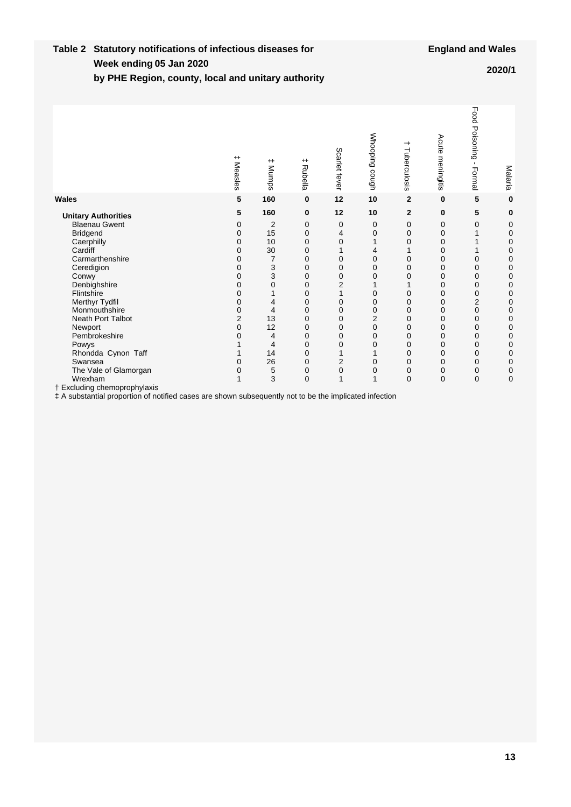#### **Week ending Table 2 Statutory notifications of infectious diseases for by PHE Region, county, local and unitary authority 05 Jan 2020 2020/1**

|                                                                                                        | $^+$<br>Measles | $^{\rm +}$<br>Mumps | $^+$<br><b>Rubella</b> | Scarlet fever  | Whooping cough | ᅪ<br>Tuberculosis | Acute<br>meningitis | Food<br>Poisoning<br>$\mathbf{I}$<br>Formal | Malaria |
|--------------------------------------------------------------------------------------------------------|-----------------|---------------------|------------------------|----------------|----------------|-------------------|---------------------|---------------------------------------------|---------|
| Wales                                                                                                  | 5               | 160                 | 0                      | 12             | 10             | $\overline{2}$    | 0                   | 5                                           | 0       |
| <b>Unitary Authorities</b>                                                                             | 5               | 160                 | 0                      | 12             | 10             | $\mathbf{2}$      | 0                   | 5                                           | 0       |
| <b>Blaenau Gwent</b>                                                                                   | 0               | 2                   | 0                      | 0              | 0              | 0                 | 0                   | 0                                           | 0       |
| <b>Bridgend</b>                                                                                        | $\Omega$        | 15                  | $\mathbf 0$            | 4              | 0              | 0                 | 0                   | 1                                           | 0       |
| Caerphilly                                                                                             | 0               | 10                  | 0                      | $\mathbf 0$    | 1              | 0                 | 0                   |                                             | 0       |
| Cardiff                                                                                                | 0               | 30                  | 0                      | $\mathbf{1}$   | 4              |                   | 0                   |                                             | 0       |
| Carmarthenshire                                                                                        | 0               | $\overline{7}$      | $\Omega$               | 0              | 0              | 0                 | 0                   | 0                                           | 0       |
| Ceredigion                                                                                             | $\Omega$        | 3                   | $\Omega$               | 0              | 0              | 0                 | 0                   | 0                                           | 0       |
| Conwy                                                                                                  | 0               | 3                   | 0                      | 0              | 0              | 0                 | 0                   | 0                                           | 0       |
| Denbighshire                                                                                           | 0               | $\mathbf 0$         | $\mathbf 0$            | $\overline{2}$ | 1              |                   | 0                   | 0                                           | 0       |
| Flintshire                                                                                             | 0               |                     | 0                      | $\mathbf{1}$   | $\mathbf 0$    | 0                 | 0                   | 0                                           | 0       |
| Merthyr Tydfil                                                                                         | 0               | 4                   | $\mathbf 0$            | 0              | 0              | 0                 | 0                   | $\overline{2}$                              | 0       |
| Monmouthshire                                                                                          | 0               | 4                   | $\mathbf 0$            | $\mathbf 0$    | 0              | 0                 | 0                   | 0                                           | 0       |
| Neath Port Talbot                                                                                      | 2               | 13                  | $\mathbf 0$            | 0              | $\overline{2}$ | 0                 | 0                   | 0                                           | 0       |
| Newport                                                                                                | 0               | 12                  | 0                      | 0              | 0              | 0                 | 0                   | 0                                           | 0       |
| Pembrokeshire                                                                                          | 0               | 4                   | $\mathbf 0$            | 0              | 0              | 0                 | 0                   | 0                                           | 0       |
| Powys                                                                                                  |                 | 4                   | 0                      | $\mathbf 0$    | 0              | 0                 | 0                   | 0                                           | 0       |
| Rhondda Cynon Taff                                                                                     |                 | 14                  | 0                      | 1              | 1              | 0                 | 0                   | 0                                           | 0       |
| Swansea                                                                                                | $\Omega$        | 26                  | $\mathbf 0$            | $\overline{2}$ | 0              | 0                 | 0                   | 0                                           | 0       |
| The Vale of Glamorgan                                                                                  | 0               | 5                   | $\mathbf 0$            | 0              | 0              | 0                 | 0                   | 0                                           | 0       |
| Wrexham                                                                                                | 1               | 3                   | $\mathbf 0$            | $\mathbf{1}$   | $\mathbf{1}$   | $\mathbf 0$       | 0                   | 0                                           | 0       |
| † Excluding chemoprophylaxis                                                                           |                 |                     |                        |                |                |                   |                     |                                             |         |
| ‡ A substantial proportion of notified cases are shown subsequently not to be the implicated infection |                 |                     |                        |                |                |                   |                     |                                             |         |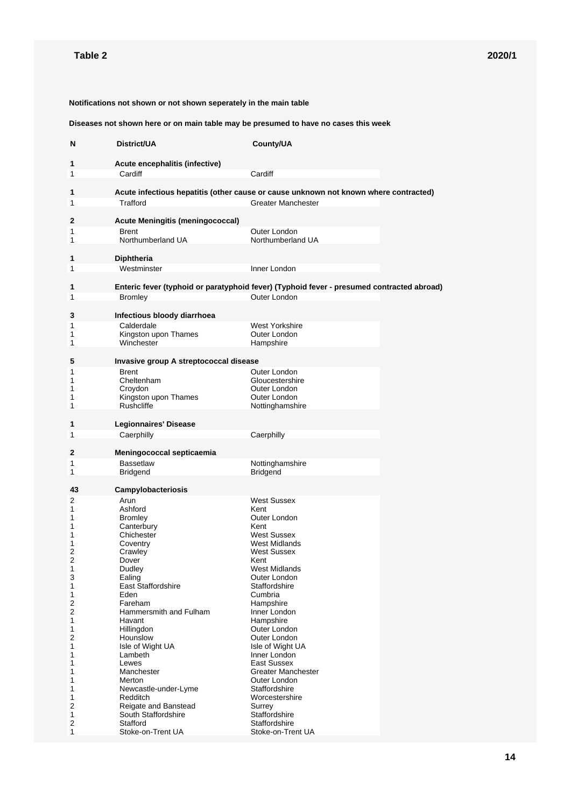**Notifications not shown or not shown seperately in the main table**

**Diseases not shown here or on main table may be presumed to have no cases this week**

| N                   | District/UA                                                                                      | County/UA                                 |  |
|---------------------|--------------------------------------------------------------------------------------------------|-------------------------------------------|--|
| 1                   | Acute encephalitis (infective)                                                                   |                                           |  |
| 1                   | Cardiff                                                                                          | Cardiff                                   |  |
|                     |                                                                                                  |                                           |  |
| 1<br>1              | Acute infectious hepatitis (other cause or cause unknown not known where contracted)<br>Trafford | Greater Manchester                        |  |
|                     |                                                                                                  |                                           |  |
| 2                   | <b>Acute Meningitis (meningococcal)</b>                                                          |                                           |  |
| 1                   | <b>Brent</b><br>Northumberland UA                                                                | Outer London<br>Northumberland UA         |  |
| 1                   |                                                                                                  |                                           |  |
| 1                   | <b>Diphtheria</b>                                                                                |                                           |  |
| 1                   | Westminster                                                                                      | Inner London                              |  |
| 1                   | Enteric fever (typhoid or paratyphoid fever) (Typhoid fever - presumed contracted abroad)        |                                           |  |
| 1                   | <b>Bromley</b>                                                                                   | Outer London                              |  |
|                     |                                                                                                  |                                           |  |
| 3                   | Infectious bloody diarrhoea<br>Calderdale                                                        | West Yorkshire                            |  |
| 1<br>1              | Kingston upon Thames                                                                             | Outer London                              |  |
| 1                   | Winchester                                                                                       | Hampshire                                 |  |
| 5                   | Invasive group A streptococcal disease                                                           |                                           |  |
| 1                   | <b>Brent</b>                                                                                     | Outer London                              |  |
| 1                   | Cheltenham                                                                                       | Gloucestershire                           |  |
| 1<br>1              | Croydon<br>Kingston upon Thames                                                                  | Outer London<br>Outer London              |  |
| 1                   | <b>Rushcliffe</b>                                                                                | Nottinghamshire                           |  |
| 1                   | <b>Legionnaires' Disease</b>                                                                     |                                           |  |
| 1                   | Caerphilly                                                                                       | Caerphilly                                |  |
|                     |                                                                                                  |                                           |  |
| 2<br>1              | Meningococcal septicaemia<br><b>Bassetlaw</b>                                                    | Nottinghamshire                           |  |
| 1                   | <b>Bridgend</b>                                                                                  | <b>Bridgend</b>                           |  |
| 43                  |                                                                                                  |                                           |  |
| 2                   | Campylobacteriosis<br>Arun                                                                       | <b>West Sussex</b>                        |  |
| 1                   | Ashford                                                                                          | Kent                                      |  |
| 1<br>1              | <b>Bromley</b><br>Canterbury                                                                     | Outer London<br>Kent                      |  |
| 1                   | Chichester                                                                                       | <b>West Sussex</b>                        |  |
| 1                   | Coventry                                                                                         | West Midlands                             |  |
| 2<br>$\overline{2}$ | Crawley<br>Dover                                                                                 | West Sussex<br>Kent                       |  |
| 1                   | Dudley                                                                                           | West Midlands                             |  |
| 3<br>1              | Ealing<br>East Staffordshire                                                                     | Outer London<br>Staffordshire             |  |
| 1                   | Eden                                                                                             | Cumbria                                   |  |
| 2                   | Fareham                                                                                          | Hampshire                                 |  |
| 2<br>1              | Hammersmith and Fulham<br>Havant                                                                 | Inner London<br>Hampshire                 |  |
| 1                   | Hillingdon                                                                                       | Outer London                              |  |
| 2<br>1              | Hounslow<br>Isle of Wight UA                                                                     | Outer London<br>Isle of Wight UA          |  |
| 1                   | Lambeth                                                                                          | Inner London                              |  |
| 1                   | Lewes                                                                                            | East Sussex                               |  |
| 1<br>1              | Manchester<br>Merton                                                                             | <b>Greater Manchester</b><br>Outer London |  |
| 1                   | Newcastle-under-Lyme                                                                             | Staffordshire                             |  |
| 1<br>2              | <b>Redditch</b><br>Reigate and Banstead                                                          | Worcestershire<br>Surrey                  |  |
| 1                   | South Staffordshire                                                                              | Staffordshire                             |  |
| 2<br>1              | Stafford<br>Stoke-on-Trent UA                                                                    | Staffordshire<br>Stoke-on-Trent UA        |  |
|                     |                                                                                                  |                                           |  |